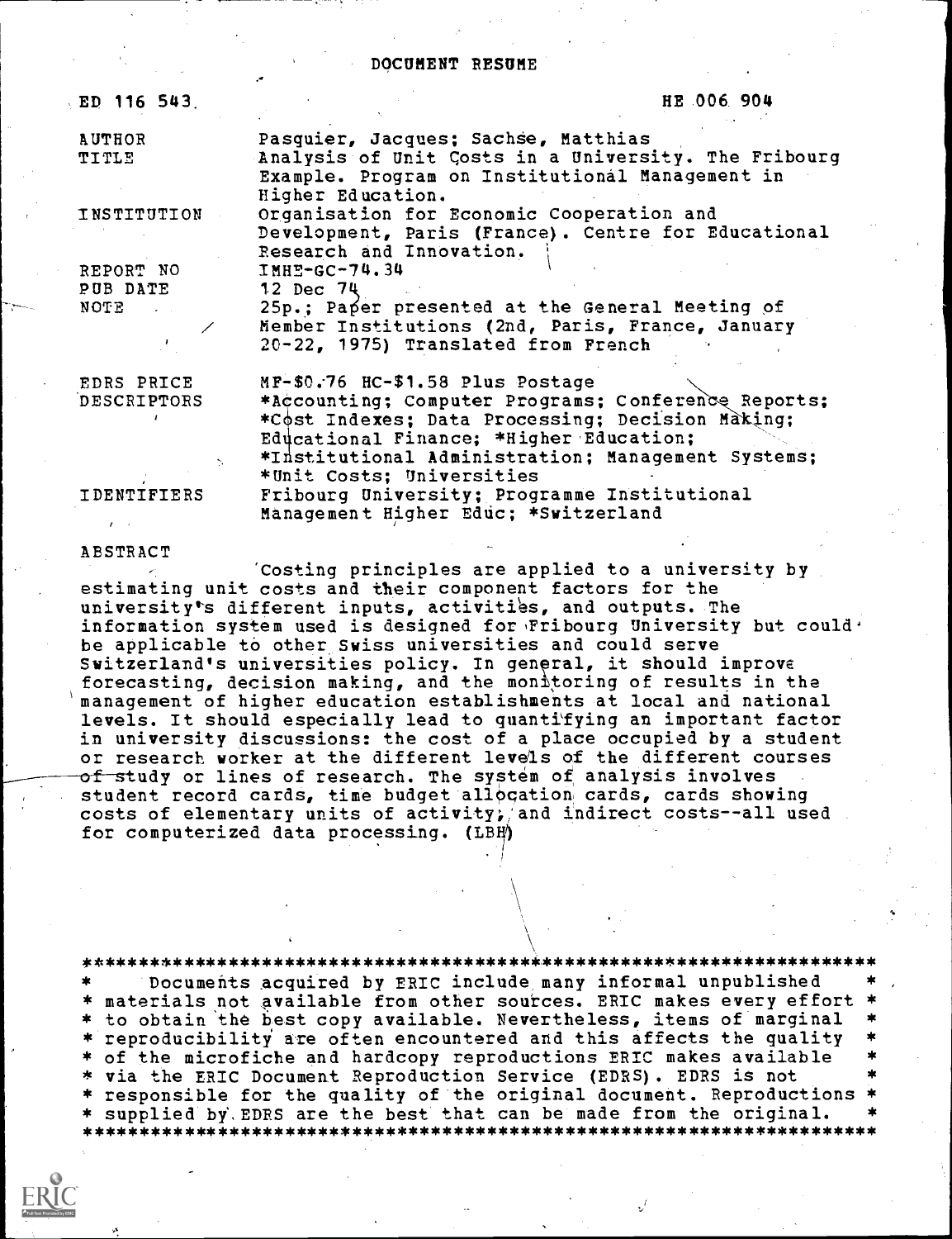# DOCUMENT RESUME

| ED 116 543.   | HE 006 904                                                                                                                   |  |
|---------------|------------------------------------------------------------------------------------------------------------------------------|--|
| <b>AUTHOR</b> | Pasquier, Jacques; Sachse, Matthias                                                                                          |  |
| TITLE         | Analysis of Unit Costs in a University. The Fribourg<br>Example. Program on Institutional Management in<br>Higher Education. |  |
| INSTITUTION   | Organisation for Economic Cooperation and                                                                                    |  |
|               | Development, Paris (France). Centre for Educational                                                                          |  |
|               | Research and Innovation.                                                                                                     |  |
| REPORT NO     | <b>IMHE-GC-74.34</b>                                                                                                         |  |
| PUB DATE      | 12 Dec 74                                                                                                                    |  |
| NOTE THE      | 25p.; Paper presented at the General Meeting of                                                                              |  |
|               | Member Institutions (2nd, Paris, France, January                                                                             |  |
|               | 20-22, 1975) Translated from French                                                                                          |  |
| EDRS PRICE    | MF-\$0.76 HC-\$1.58 Plus Postage                                                                                             |  |
| DESCRIPTORS   | *Accounting; Computer Programs; Conference Reports;                                                                          |  |
|               | *Cost Indexes; Data Processing; Decision Making;                                                                             |  |
|               | Educational Finance; *Higher Education;                                                                                      |  |
|               | *Institutional Administration; Management Systems;                                                                           |  |
|               |                                                                                                                              |  |
|               | *Unit Costs; Universities                                                                                                    |  |
| IDENTIFIERS   | Fribourg University; Programme Institutional                                                                                 |  |
|               | Management Higher Educ; *Switzerland                                                                                         |  |

# ABSTRACT

'Costing principles are applied to a university by estimating unit costs and their component factors for the university's different inputs, activities, and outputs. The information system used is designed for 'Fribourg University but could' be applicable to other Swiss universities and could serve Switzerland's universities policy. In general, it should improve forecasting, decision making, and the monitoring of results in the management of higher education establishments at local and national levels. It should especially lead to quantifying an important factor in university discussions: the cost of a place occupied by a student or research worker at the different levels of the different courses  $of$  study or lines of research. The system of analysis involves student record cards, time budget allocation cards, cards showing costs of elementary units of activity; and indirect costs--all used for computerized data processing. (LBH)

\*\*\*\*\*\*\*\*\*\*\*\*\*\*\*\*\*\*\*\*\*\*\*\*\*

Documents acquired by ERIC include many informal unpublished materials not available from other sources. ERIC makes every effort to obtain the best copy available. Nevertheless, items of marginal  $\blacksquare$  reproducibility are often encountered and this affects the quality of the microfiche and hardcopy reproductions ERIC makes available via the ERIC Document Reproduction Service (EDRS). EDRS is not responsible for the quality of the original document. Reproductions \* supplied by', EDRS are the best that can be made from the original. \*\*\*\*\*\*\*\*\*\*\*\*\*\*\*\*\*\*\*\*\*\*\*\*\*\*\*\*\*\*\*\*\*\*\*\*\*\*\*\*\*\*\*\*\*\*\*\*\*\*\*\*\*\*\*\*\*\*\*\*\*\*\*\*\*\*\*\*\*\*\*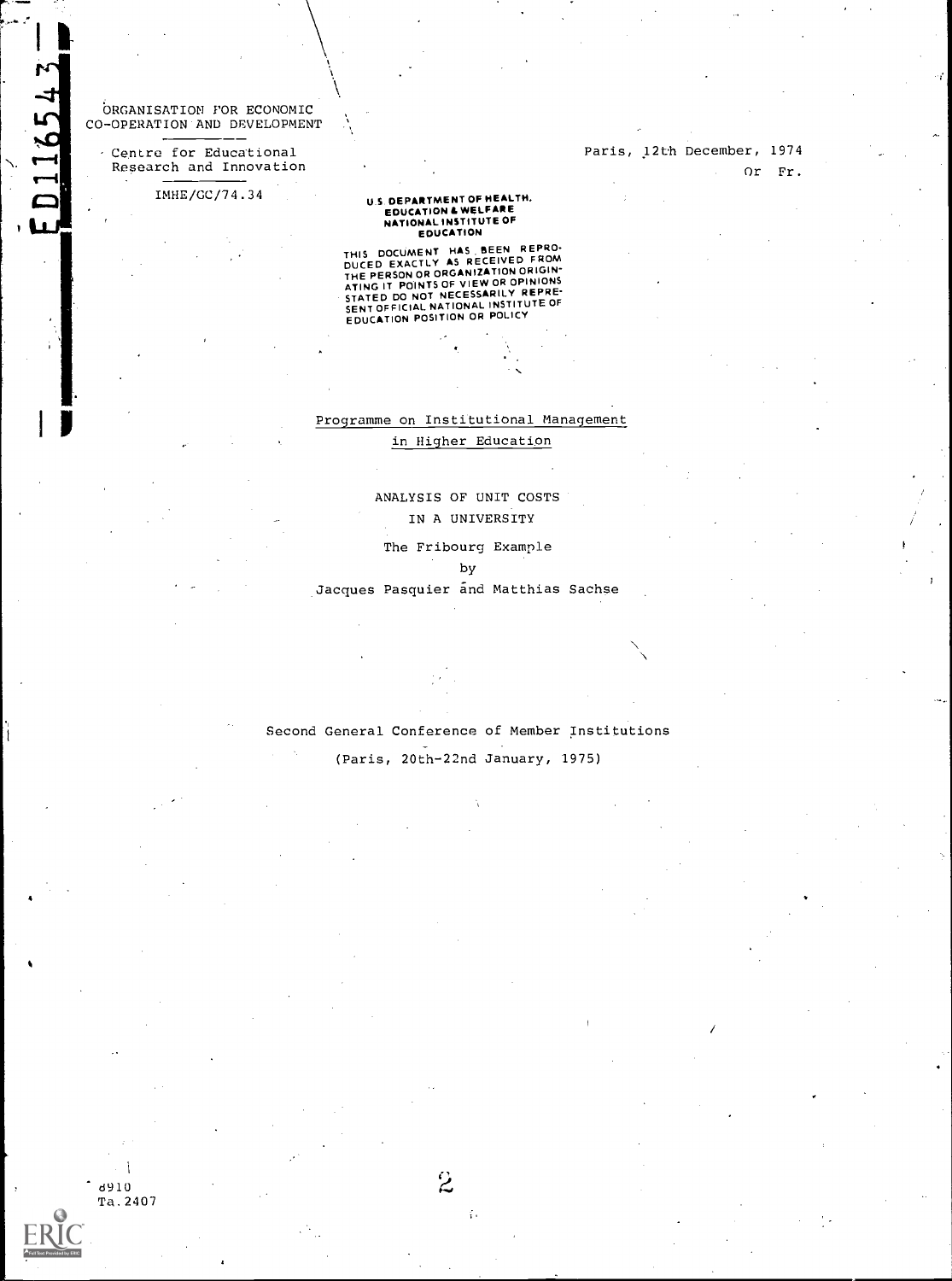'ORGANISATION FOR ECONOMIC CO-OPERATION AND DEVELOPMENT

ta ang

Centre for Educational Research and Innovation

IMHE/GC/74.34

# U.S. DEPARTMENT OF HEALTH,<br>EDUCATION & WELFARE<br>NATIONAL INSTITUTE OF<br>EDUCATION

THIS DOCUMENT HAS BEEN REFORD<br>DUCED EXACTLY AS RECEIVED FROM<br>THE PERSON OR ORGANIZATION ORIGIN-<br>ATING IT POINTS OF VIEW OR OPINIONS<br>STATED DO NOT NECESSARILY REPRE-<br>SENITOFFICIAL NATIONAL INSTITUTE OF<br>EDUCATION POSITION OR

# Programme on Institutional Management

# in Higher Education

# ANALYSIS OF UNIT COSTS IN A UNIVERSITY

The Fribourg Example

## by

Jacques Pasquier and Matthias Sachse

Second General Conference of Member Institutions

(Paris, 20th-22nd January, 1975)

d910 Ta.2407  $\ddot{\mathbf{z}}$ 

š.

Paris, 12th December, 1974 Or Fr.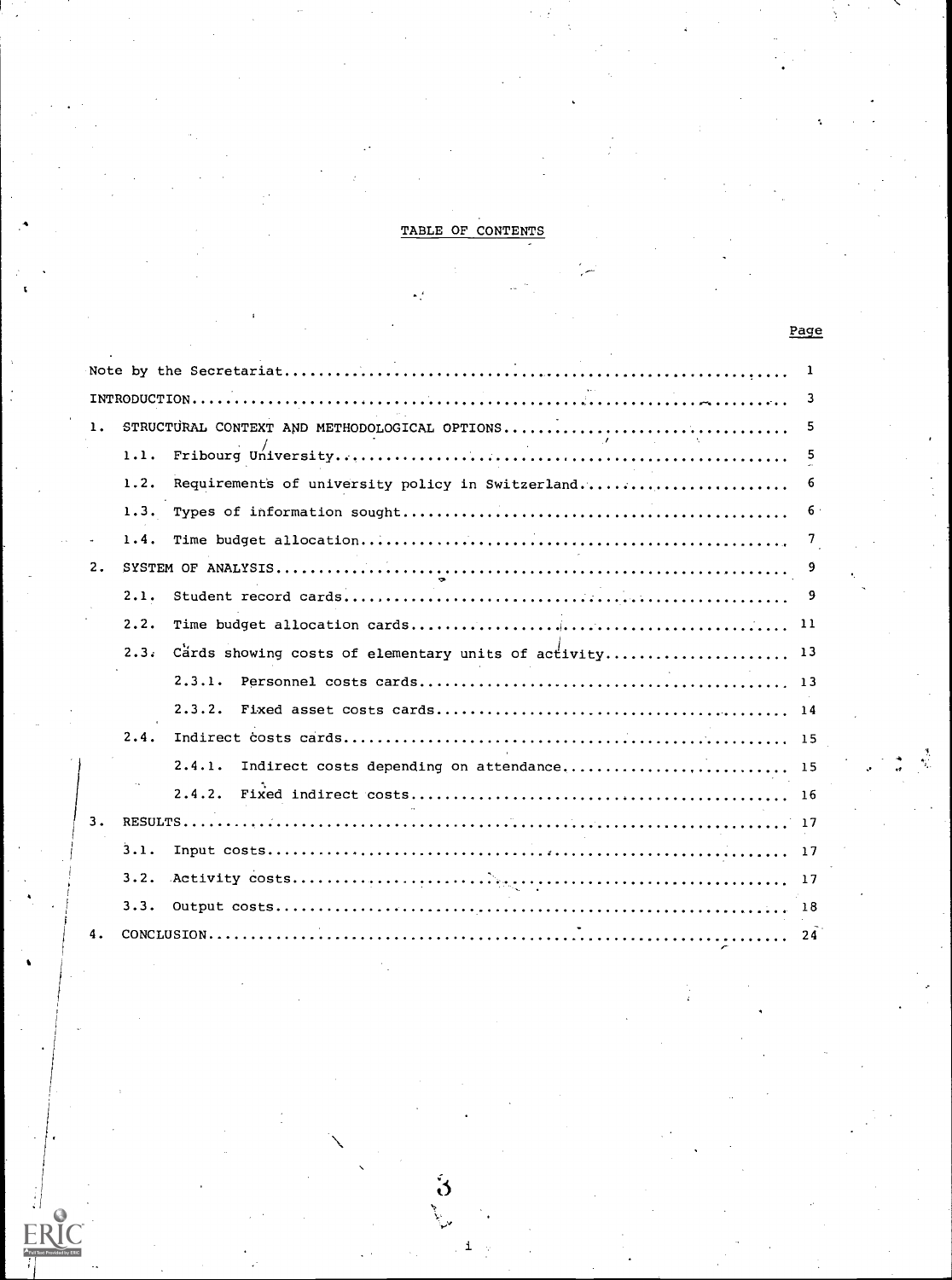# TABLE OF CONTENTS

Page

|    |      |                                                        | 1         |
|----|------|--------------------------------------------------------|-----------|
|    |      |                                                        | - 3       |
|    |      | STRUCTURAL CONTEXT AND METHODOLOGICAL OPTIONS          | 5         |
|    | 1.1. |                                                        | - 5       |
|    | 1.2. | Requirements of university policy in Switzerland       | 6         |
|    |      |                                                        | $6 \cdot$ |
|    |      |                                                        |           |
| 2. |      |                                                        |           |
|    | 2.1. |                                                        |           |
|    | 2.2. |                                                        |           |
|    | 2.3. | Cards showing costs of elementary units of activity 13 |           |
|    |      | 2.3.1.                                                 |           |
|    |      | 2.3.2.                                                 |           |
|    | 2.4. |                                                        |           |
|    |      | 2.4.1.                                                 |           |
|    |      |                                                        |           |
| з. |      |                                                        |           |
|    | 3.1. |                                                        |           |
|    | 3.2. |                                                        |           |
|    | 3.3. |                                                        |           |
|    |      |                                                        | -24       |

 $\ddot{\bm{\delta}}$ 

i

**RIC** 

 $\begin{array}{c} \begin{array}{c} \text{F} \\ \text{Fullaxr} \end{array} \end{array}$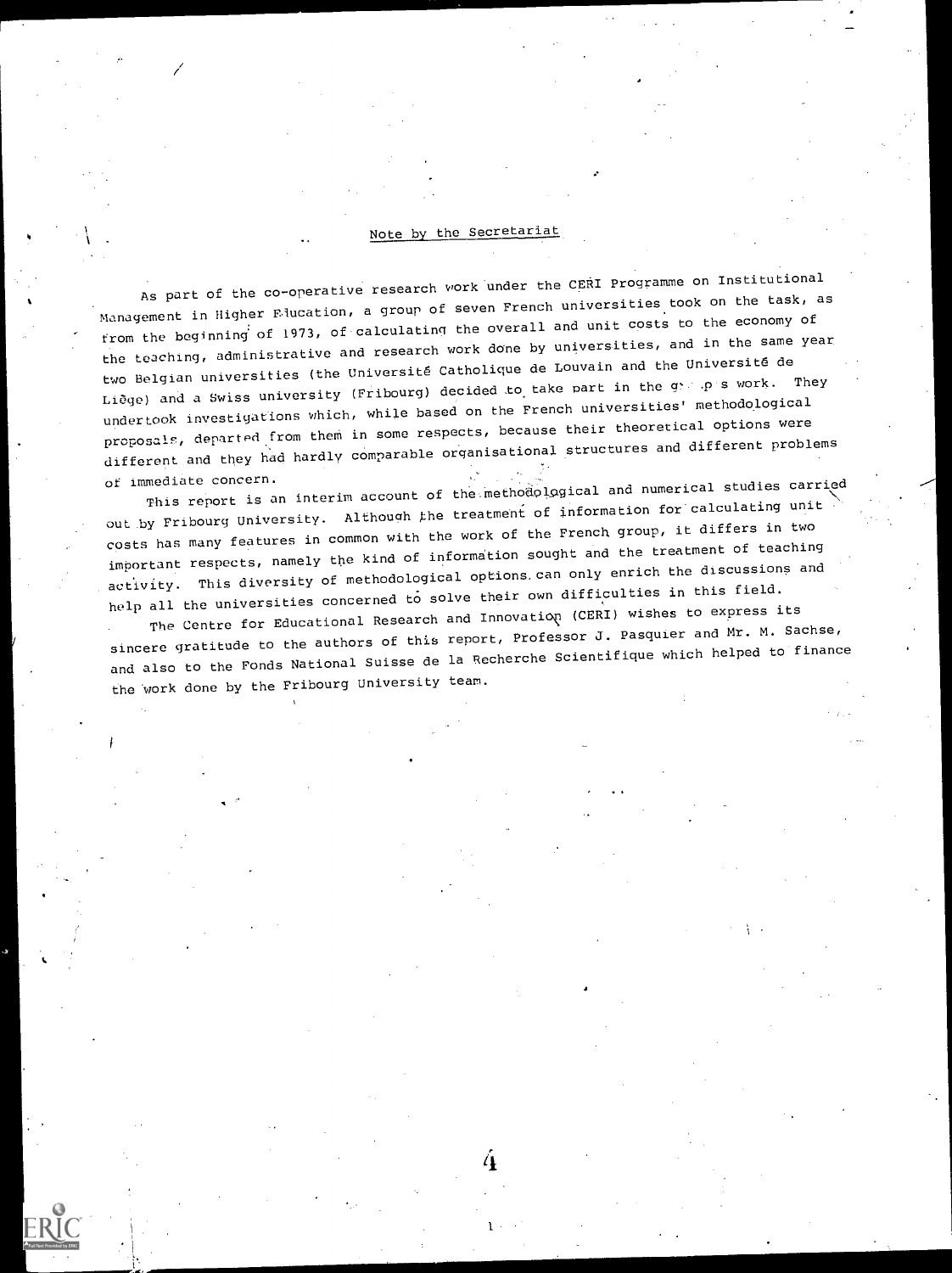# Note by the Secretariat

As part of the co-operative research work under the CERI Programme on Institutional Management in Higher Flucation, a group of seven French universities took on the task, as from the beginning of 1973, of calculating the overall and unit costs to the economy of the teaching, administrative and research work done by universities, and in the same year two Belgian universities (the Université Catholique de Louvain and the Université de Liege) and a Swiss university (Fribourg) decided to take part in the g .p s work. They undertook investigations which, while based on the French universities' methodological proposals, departed from them in some respects, because their theoretical options were different and they had hardly comparable organisational structures and different problems

of immediate concern.<br>This report is an interim account of the methodological and numerical studies carried out by Fribourg University. Although the treatment of information for calculating unit costs has many features in common with the work of the French group, it differs in two important respects, namely the kind of information sought and the treatment of teaching activity. This diversity of methodological options. can only enrich the discussions and help all the universities concerned to solve their own difficulties in this field.

The Centre for Educational Research and Innovation (CERI) wishes to express its sincere gratitude to the authors of this report, Professor J. Pasquier and Mr. M. Sachse, and also to the Fonds National Suisse de la Recherche Scientifique which helped to finance the Work done by the Fribourg University team.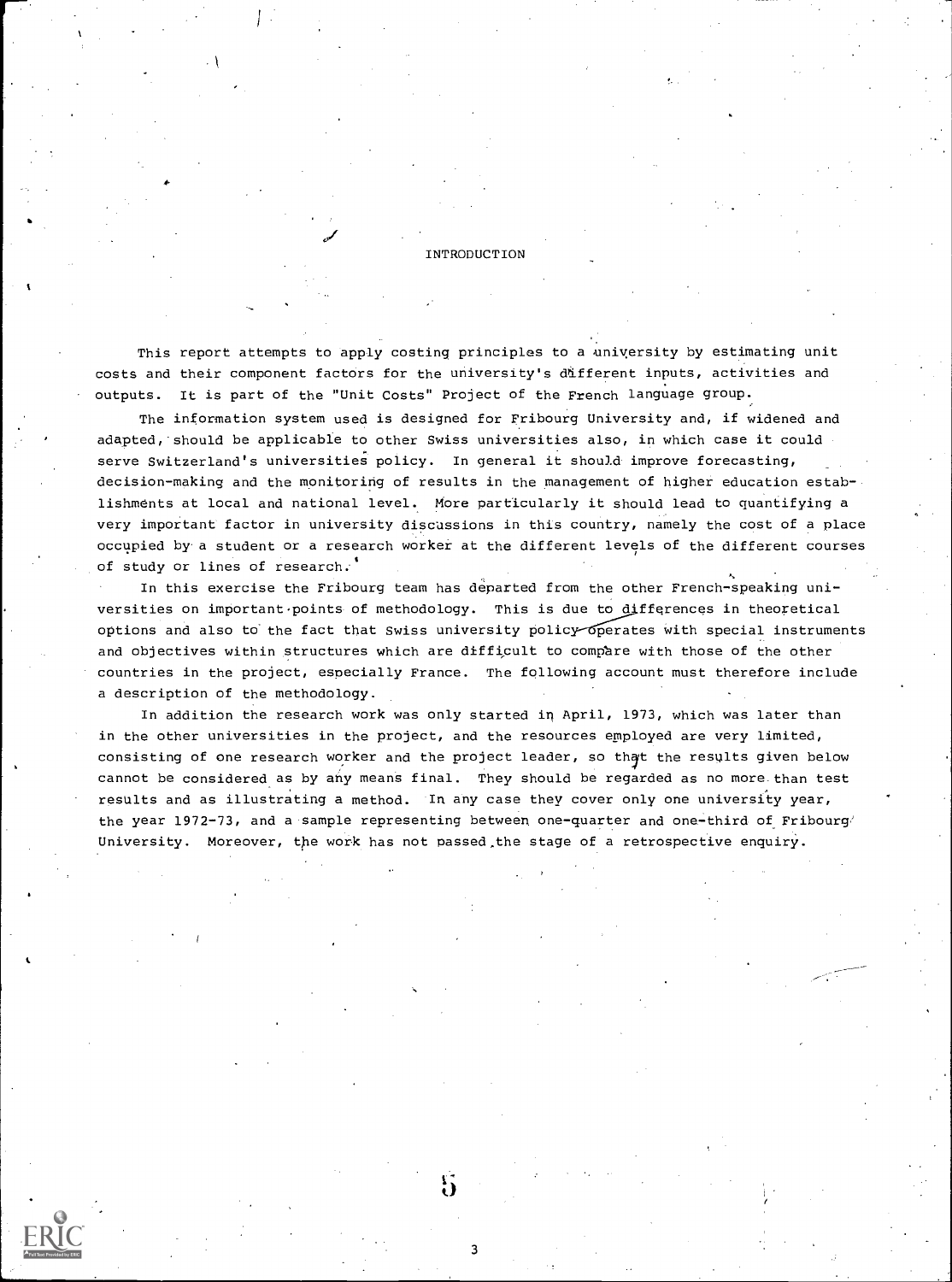#### INTRODUCTION

This report attempts to apply costing principles to a university by estimating unit costs and their component factors for the university's different inputs, activities and outputs. It is part of the "Unit Costs" Project of the French language group.

The information system used is designed for Fribourg University and, if widened and adapted, should be applicable to other Swiss universities also, in which case it could serve Switzerland's universities policy. In general it should improve forecasting, decision-making and the monitoring of results in the management of higher education establishments at local and national level. More particularly it should lead to quantifying a very important factor in university discussions in this country, namely the cost of a place occupied by a student or a research worker at the different levels of the different courses of study or lines of research.

In this exercise the Fribourg team has departed from the other French-speaking universities on important points of methodology. This is due to differences in theoretical options and also to the fact that Swiss university policy operates with special instruments and objectives within structures which are difficult to comphre with those of the other countries in the project, especially France. The following account must therefore include a description of the methodology.

In addition the research work was only started in April, 1973, which was later than in the other universities in the project, and the resources employed are very limited, consisting of one research worker and the project leader, so that the results given below cannot be considered as by any means final. They should be regarded as no more than test results and as illustrating a method. In any case they cover only one university year, the year 1972-73, and a sample representing between one-quarter and one-third of Fribourg/ University. Moreover, the work has not passed the stage of a retrospective enquiry.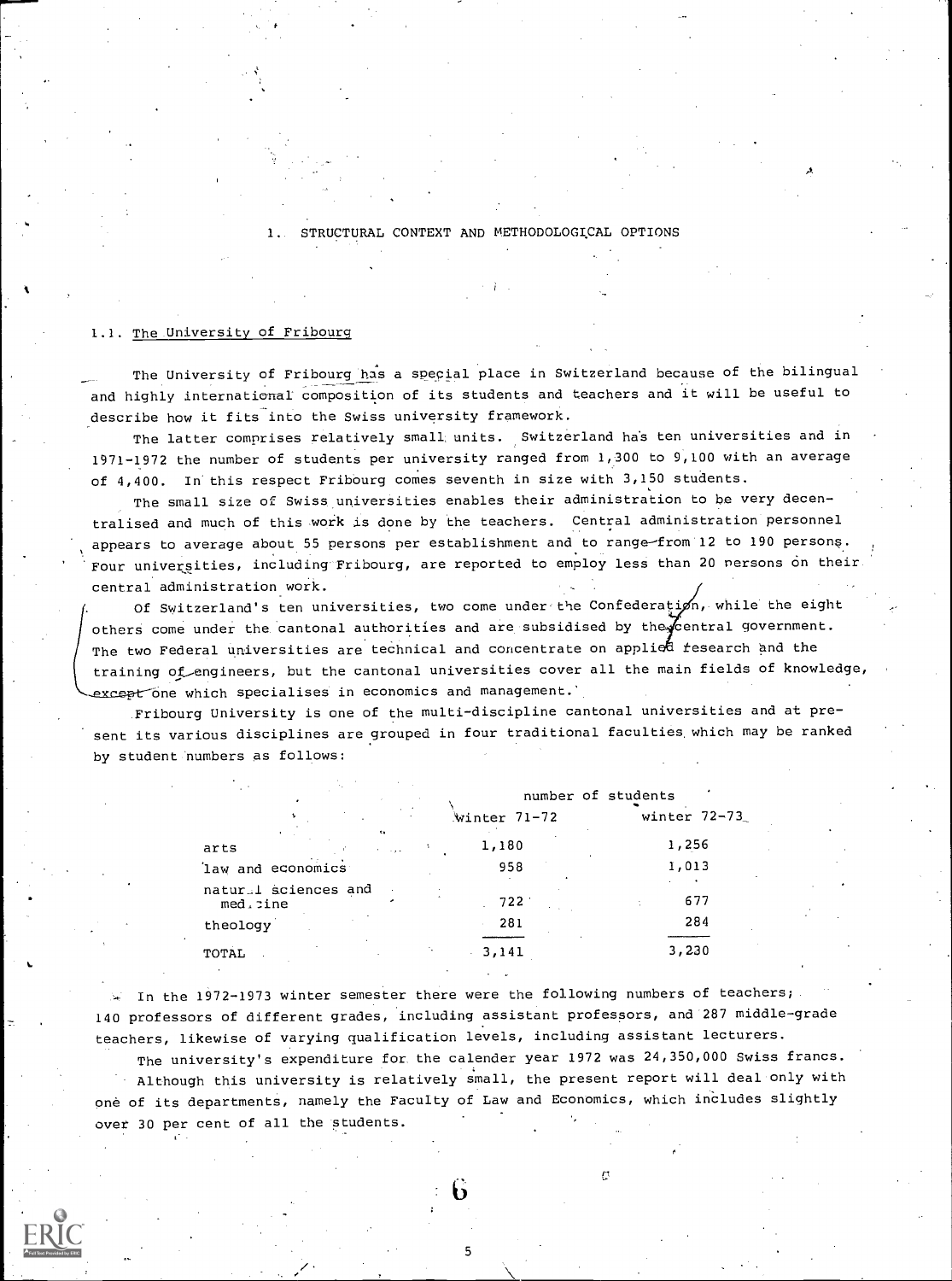STRUCTURAL CONTEXT AND METHODOLOGICAL OPTIONS

## 1.1. The University of Fribourg

The University of Fribourg has a special place in Switzerland because of the bilingual and highly international composition of its students and teachers and it will be useful to describe how it fits into the Swiss university framework.

The latter comprises relatively small, units. Switzerland ha's ten universities and in 1971-1972 the number of students per university ranged from 1,300 to 9,100 with an average of 4,400. In this respect Fribourg comes seventh in size with 3,150 students.

The small size of Swiss universities enables their administration to be very decentralised and much of this work is done by the teachers. Central administration personnel appears to average about 55 persons per establishment and to range-from 12 to 190 persons. Four universities, including Fribourg, are reported to employ less than 20 nersons on their central administration work.

Of Switzerland's ten universities, two come under the Confederation, while the eight others come under the cantonal authorities and are subsidised by the central government. The two Federal universities are technical and concentrate on applied research and the training of engineers, but the cantonal universities cover all the main fields of knowledge, except one which specialises in economics and management.'

Fribourg University is one of the multi-discipline cantonal universities and at present its various disciplines are grouped in four traditional faculties which may be ranked by student numbers as follows:

|                                  |                                  |              | number of students |  |
|----------------------------------|----------------------------------|--------------|--------------------|--|
|                                  |                                  | Winter 71-72 | winter $72-73$     |  |
| arts                             | $\mathbf{c}_k$<br><b>Kingdom</b> | 1,180        | 1,256              |  |
| law and economics                |                                  | 958          | 1,013              |  |
| natural sciences and<br>med.cine |                                  | 722          | 677                |  |
| theology                         |                                  | 281          | 284                |  |
| TOTAL                            |                                  | 3,141<br>ä.  | 3,230              |  |

 $\sim$  In the 1972-1973 winter semester there were the following numbers of teachers; 140 professors of different grades, including assistant professors, and 287 middle-grade teachers, likewise of varying qualification levels, including assistant lecturers.

The university's expenditure for the calender year 1972 was 24,350,000 Swiss francs. Although this university is relatively small, the present report will deal only with one of its departments, namely the Faculty of Law and Economics, which includes slightly over 30 per cent of all the students.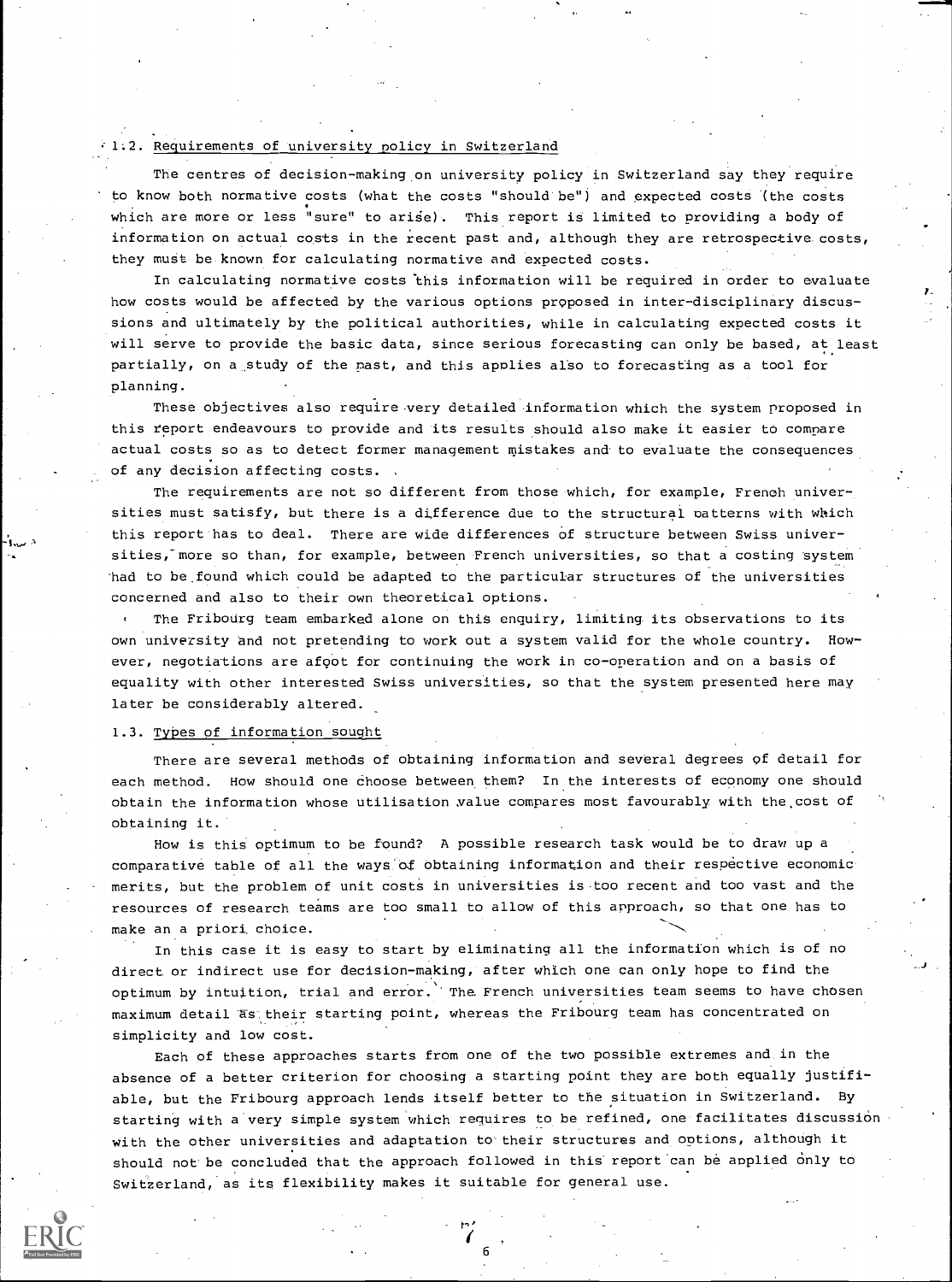#### 1.2. Requirements of university nolicy in Switzerland

The centres of decision-making on university policy in Switzerland say they require to know both normative costs (what the costs "should be") and expected costs (the costs which are more or less "sure" to arise). This report is limited to providing a body of information on actual costs in the recent past and, although they are retrospective costs, they must be known for calculating normative and expected costs.

In calculating normative costs this information will be required in order to evaluate how costs would be affected by the various options proposed in inter-disciplinary discussions and ultimately by the political authorities, while in calculating expected costs it will serve to provide the basic data, since serious forecasting can only be based, at least partially, on a study of the mast, and this applies also to forecasting as a tool for planning.

These objectives also require very detailed information which the system proposed in this report endeavours to provide and its results should also make it easier to comnare actual costs so as to detect former management mistakes and to evaluate the consequences of any decision affecting costs. ,

The requirements are not so different from those which, for example, French universities must satisfy, but there is a difference due to the structural patterns with which this report has to deal. There are wide differences of structure between Swiss universities, more so than, for example, between French universities, so that a costing system had to be,found which could be adapted to the particular structures of the universities concerned and also to their own theoretical options.

The Fribourg team embarked alone on this enquiry, limiting its observations to its  $\epsilon$ own university and not pretending to work out a system valid for the whole country. However, negotiations are afoot for continuing the work in co-operation and on a basis of equality with other interested Swiss universities, so that the system presented here may later be considerably altered.

#### 1.3. Types of information sought

AT 100 AM

There are several methods of obtaining information and several degrees of detail for each method. How should one choose between them? In the interests of economy one should obtain the information whose utilisation ,value compares most favourably with the cost of obtaining it.

How is this optimum to be found? A possible research task would be to draw up a comparative table of all the ways of obtaining information and their respective economic merits, but the problem of unit costs in universities is too recent and too vast and the resources of research teams are too small to allow of this approach, so that one has to make an a priori choice.

In this case it is easy to start by eliminating all the information which is of no direct or indirect use for decision-making, after which one can only hope to find the optimum by intuition, trial and error.' The French universities team seems to have chbsen maximum detail Rs their starting point, whereas the Fribourg team has concentrated on simplicity and low cost.

Each of these approaches starts from one of the two possible extremes and in the absence of a better criterion for choosing a starting point they are both equally justifiable, but the Fribourg approach lends itself better to the situation in Switzerland. By starting with a very simple system which requires to be refined, one facilitates discussion With the other universities and adaptation to their structures and options, although it should not be concluded that the approach followed in this report can be applied only to Switzerland, as its flexibility makes it suitable for general use.

6

 $\mathbf{P}_{\mathbf{z}}^{(i)}$  and  $\mathbf{P}_{\mathbf{z}}^{(i)}$  and  $\mathbf{P}_{\mathbf{z}}^{(i)}$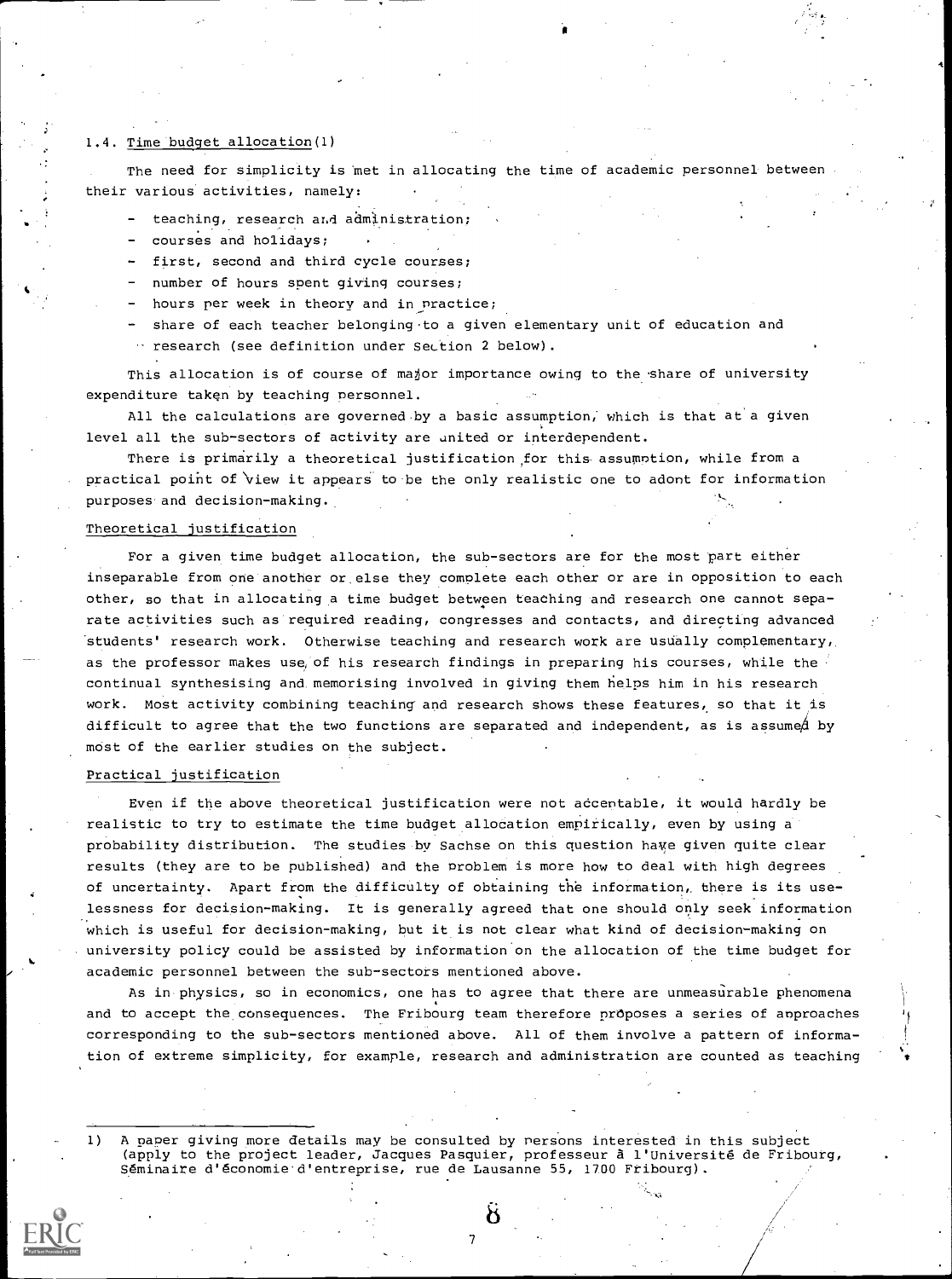# 1.4. Time budget allocation(1)

The need for simplicity is met in allocating the time of academic personnel between their various activities, namely:

- teaching, research ar,d administration;
- courses and holidays;
- first, second and third cycle courses;
- number of hours spent giving courses;
- hours per week in theory and in practice;
- share of each teacher belonging.to a given elementary unit of education and research (see definition under Section 2 below).

This allocation is of course of major importance owing to the share of university expenditure taken by teaching personnel.

All the calculations are governed by a basic assumption, which is that at a given level all the sub-sectors of activity are united or interdependent.

There is primarily a theoretical justification for this assumption, while from a practical point of 'view it appears to be the only realistic one to adont for information purposes and decision-making.

# Theoretical justification

For a given time budget allocation, the sub-sectors are for the most part either inseparable from one another or else they complete each other or are in opposition to each other, so that in allocating a time budget between teaching and research one cannot separate activities such as required reading, congresses and contacts, and directing advanced students' research work. Otherwise teaching and research work are usually complementary, as the professor makes use of his research findings in preparing his courses, while the continual synthesising and memorising involved in giving them helps him in his research work. Most activity combining teaching and research shows these features, so that it is difficult to agree that the two functions are separated and independent, as is assumed by most of the earlier studies on the subject.

## Practical justification

Even if the above theoretical justification were not adcentable, it would hardly be realistic to try to estimate the time budget allocation empirically, even by using a probability distribution. The studies by Sachse on this question have given quite clear results (they are to be published) and the problem is more how to deal with high degrees of uncertainty. Apart from the difficulty of obtaining the information, there is its uselessness for decision-making. It is generally agreed that one should only seek information which is useful for decision-making, but it is not clear what kind of decision-making on university policy could be assisted by information on the allocation of the time budget for academic personnel between the sub-sectors mentioned above.

As in physics, so in economics, one has to agree that there are unmeasurable phenomena and to accept the consequences. The Fribourg team therefore proposes a series of anproaches corresponding to the sub-sectors mentioned above. All of them involve a pattern of information of extreme simplicity, for example, research and administration are counted as teaching

1) A naper giving more details may be consulted by nersons interested in this subject (apply to the project leader, Jacques Pasquier, professeur A l'Universite de Fribourg, Seminaire d'economie d'entreprise, rue de Lausanne 55, 1700 Fribourg).

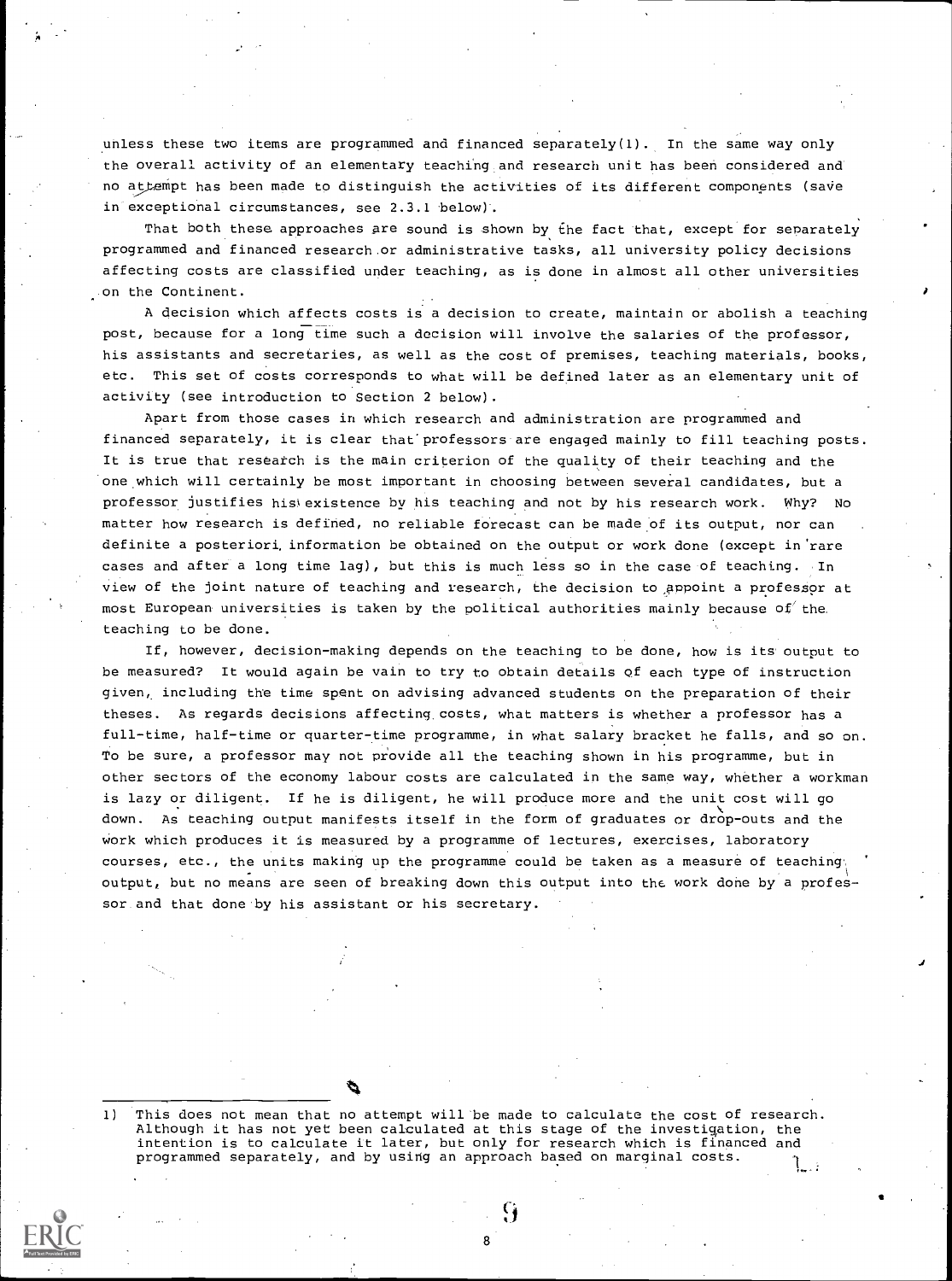unless these two items are programmed and financed separately(1). In the same way only the overall activity of an elementary teaching and research unit has been considered and no attempt has been made to distinguish the activities of its different components (save in exceptional circumstances, see 2.3.1 below).

That both these approaches are sound is shown by the fact that, except for separately programmed and financed research.or administrative tasks, all university policy decisions affecting costs are classified under teaching, as is done in almost all other universities on the Continent.

A decision which affects costs is a decision to create, maintain or abolish a teaching post, because for a long time such a decision will involve the salaries of the professor, his assistants and secretaries, as well as the cost of premises, teaching materials, books, etc. This set of costs corresponds to what will be defined later as an elementary unit of activity (see introduction to Section 2 below).

Apart from those cases in which research and administration are programmed and financed separately, it is clear that professors are engaged mainly to fill teaching posts. It is true that research is the main criterion of the quality of their teaching and the one which will certainly be most important in choosing between several candidates, but a professor justifies his existence by his teaching and not by his research work. Why? No matter how research is defined, no reliable forecast can be made of its output, nor can definite a posteriori, information be obtained on the output or work done (except in'rare cases and after a long time lag), but this is much less so in the case of teaching. In view of the joint nature of teaching and research, the decision to appoint a professor at most European universities is taken by the political authorities mainly because of the teaching to be done.

If, however, decision-making depends on the teaching to be done, how is its output to be measured? It would again be vain to try to obtain details of each type of instruction given, including the time spent on advising advanced students on the preparation of their theses. As regards decisions affecting, costs, what matters is whether a professor has a full-time, half-time or quarter-time programme, in what salary bracket he falls, and so on. To be sure, a professor may not provide all the teaching shown in his programme, but in other sectors of the economy labour costs are calculated in the same way, whether a workman is lazy or diligent. If he is diligent, he will produce more and the unit cost will go down. As teaching output manifests itself in the form of graduates or drop-outs and the work which produces it is measured by a programme of lectures, exercises, laboratory courses, etc., the units making up the programme could be taken as a measure of teaching. output, but no means are seen of breaking down this output into the work done by a professor and that done by his assistant or his secretary.

1) This does not mean that no attempt will be made to calculate the cost of research. Although it has not yet been calculated at this stage of the investigation, the intention is to calculate it later, but only for research which is financed and programmed separately, and by using an approach based on marginal costs. 1

8

G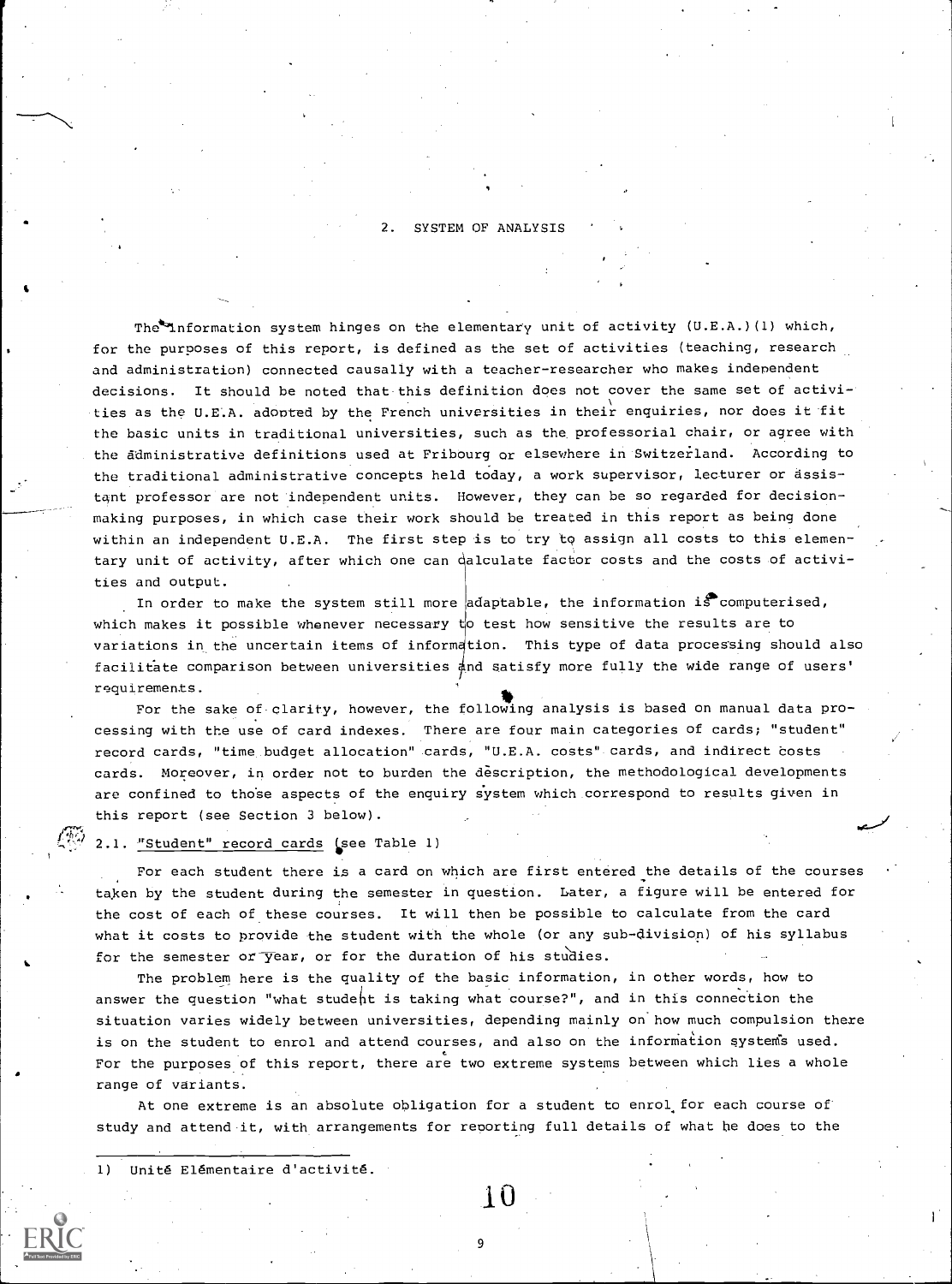2. SYSTEM OF ANALYSIS

The<sup>1</sup>nformation system hinges on the elementary unit of activity (U.E.A.)(1) which, for the purposes of this report, is defined as the set of activities (teaching, research and administration) connected causally with a teacher-researcher who makes independent decisions. It should be noted that this definition does not cover the same set of activities as the U.E.A. adopted by the French universities in their enquiries, nor does it fit the basic units in traditional universities, such as the professorial chair, or agree with the administrative definitions used at Fribourg or elsewhere in Switzerland. According to the traditional administrative concepts held today, a work supervisor, lecturer or assistant professor are not independent units. However, they can be so regarded for decisionmaking purposes, in which case their work should be treated in this report as being done within an independent U.E.A. The first step is to try to assign all costs to this elementary unit of activity, after which one can dalculate factor costs and the costs of activities and output.

In order to make the system still more adaptable, the information is computerised, which makes it possible whenever necessary  $t$  test how sensitive the results are to variations in the uncertain items of information. This type of data processing should also facilitate comparison between universities  $\frac{1}{4}$ nd satisfy more fully the wide range of users' requirements.

For the sake of-olarity, however, the following analysis is based on manual data processing with the use of card indexes. There are four main categories of cards; "student" record cards, "time budget allocation" cards, "U.E.A. costs" cards, and indirect costs cards. Moreover, in order not to burden the description, the methodological developments are confined to those aspects of the enquiry system which correspond to results given in this report (see Section 3 below).

## 2.1. "Student" record cards (see Table 1)

For each student there is a card on which are first entered the details of the courses taken by the student during the semester in question. Later, a figure will be entered for the cost of each of these courses. It will then be possible to calculate from the card what it costs to provide the student with the whole (or any sub-division) of his syllabus for the semester or  $\overline{y}$ ear, or for the duration of his studies.

The problem here is the quality of the basic information, in other words, how to answer the question "what student is taking what course?", and in this connection the situation varies widely between universities, depending mainly on'how much compulsion there is on the student to enrol and attend courses, and also on the information systems used. For the purposes of this report, there are two extreme systems between which lies a whole range of variants.

At one extreme is an absolute obligation for a student to enrol. for each course of study and attend it, with arrangements for reporting full details of what he does to the

1) Unité Elémentaire d'activité.



9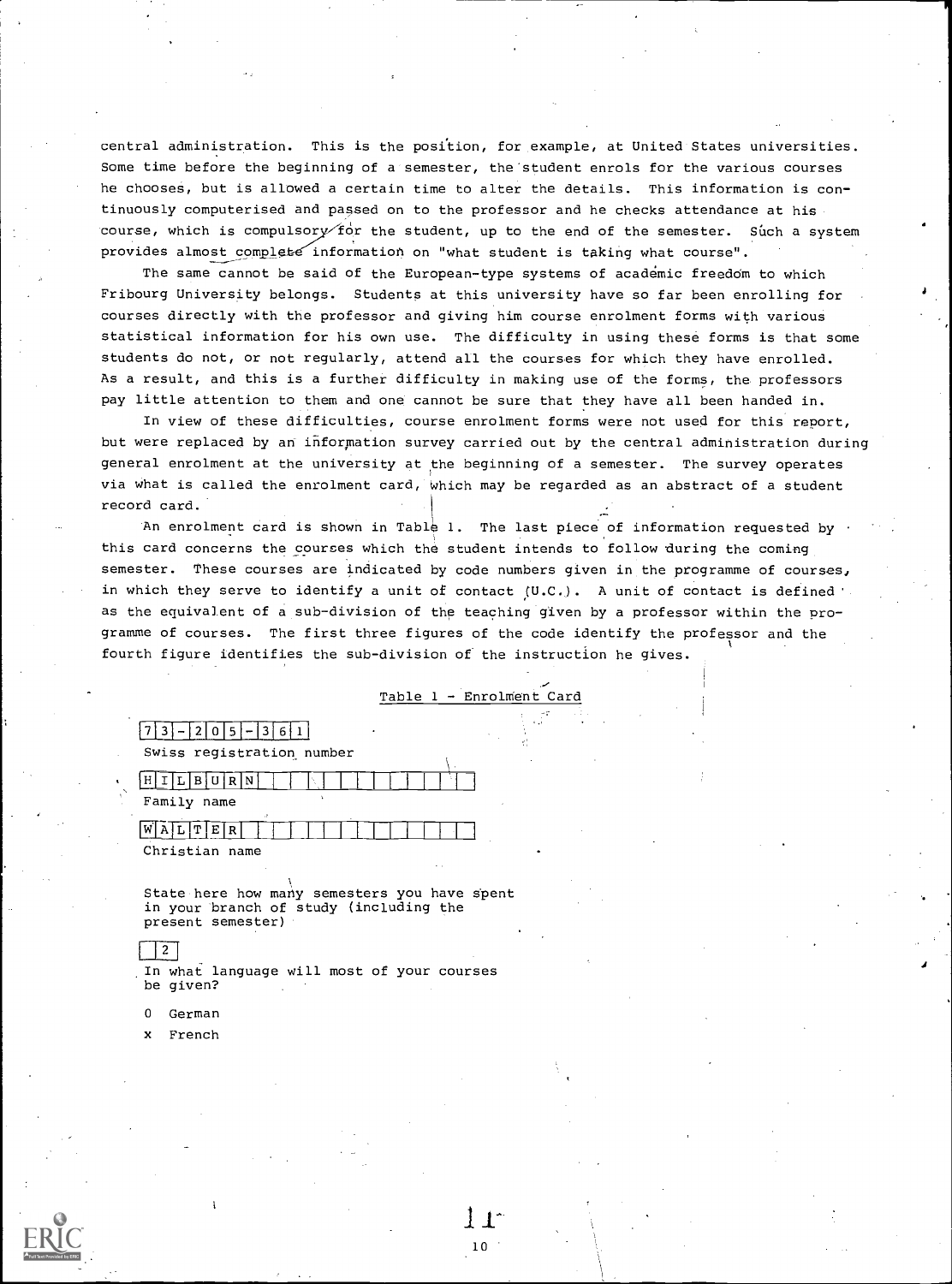central administration. This is the position, for example, at United States universities. Some time before the beginning of a semester, the student enrols for the various courses he chooses, but is allowed a certain time to alter the details. This information is continuously computerised and passed on to the professor and he checks attendance at his course, which is compulsory for the student, up to the end of the semester. Such a system provides almost complete information on "what student is taking what course".

The same cannot be said of the European-type systems of academic freedom to which Fribourg University belongs. Students at this university have so far been enrolling for courses directly with the professor and giving him course enrolment forms with various statistical information for his own use. The difficulty in using these forms is that some students do not, or not regularly, attend all the courses for which they have enrolled. As a result, and this is a further difficulty in making use of the forms, the professors pay little attention to them and one cannot be sure that they have all been handed in.

In view of these difficulties, course enrolment forms were not used for this report, but were replaced by an information survey carried out by the central administration during general enrolment at the university at the beginning of a semester. The survey operates via what is called the enrolment card, Which may be regarded as an abstract of a student record card.

An enrolment card is shown in Table 1. The last piece of information requested by this card concerns the courses which the student intends to follow during the coming semester. These courses are indicated by code numbers given in the programme of courses, in which they serve to identify a unit of contact (U.C.). A unit of contact is defined as the equivalent of a sub-division of the teaching given by a professor within the programme of courses. The first three figures of the code identify the professor and the fourth figure identifies the sub-division of the instruction he gives.

| Table 1 - Enrolment Card |  |  |  |  |  |
|--------------------------|--|--|--|--|--|
|--------------------------|--|--|--|--|--|

# $7 \mid 3 \mid -1 \mid 2 \mid 0 \mid 5 \mid -1 \mid 3 \mid 6 \mid 1 \mid$ Swiss registration. number

| B U R N           |  |  |  |
|-------------------|--|--|--|
| Family name<br>J. |  |  |  |
| T E <br>RI        |  |  |  |

Christian name

State here how many semesters you have spent in your branch of study (including the present semester)

# $\vert 2 \rceil$

In what language will most of your courses be given?

- <sup>0</sup> German
- x French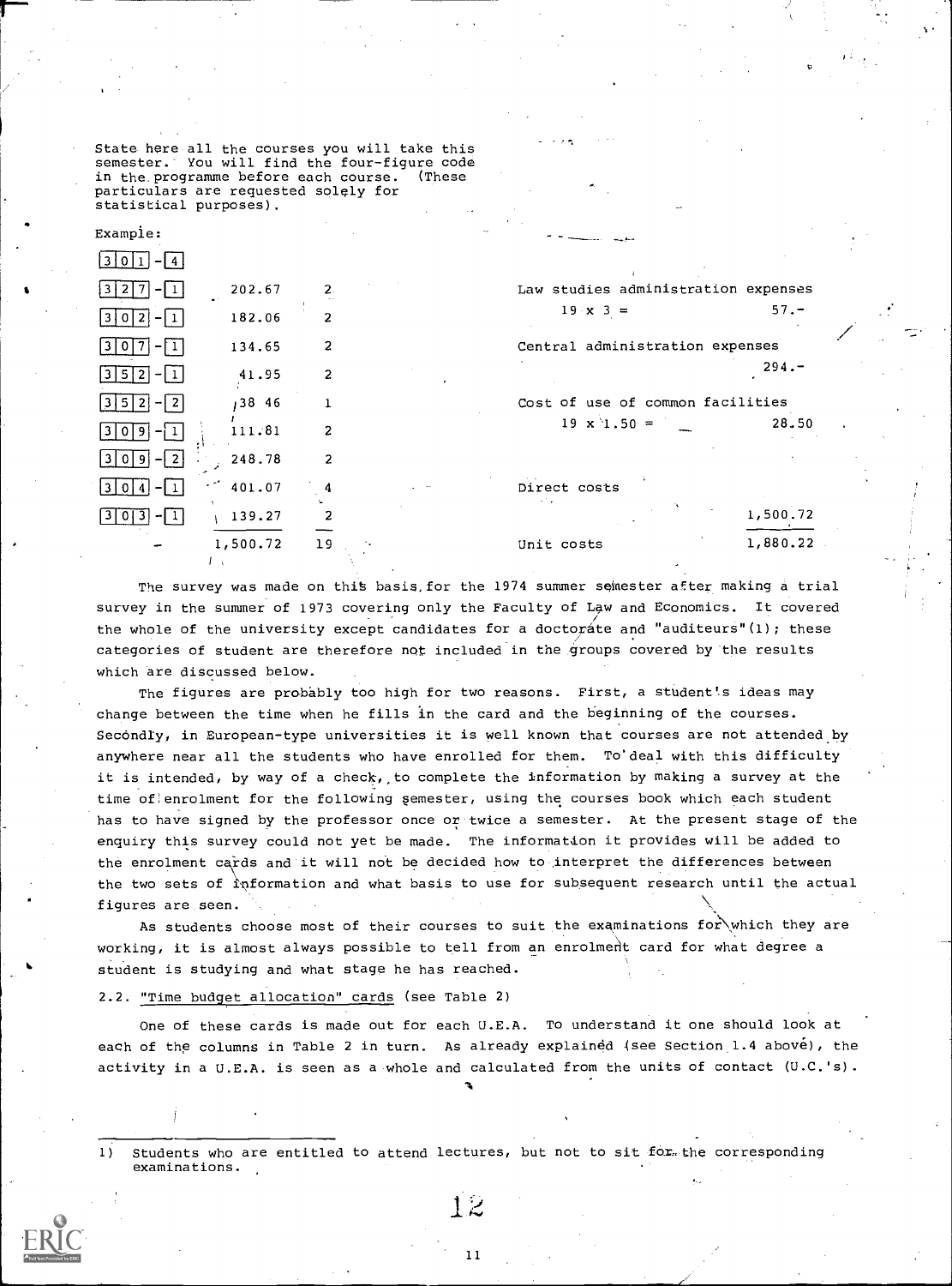State here all the courses you will take this semester. You will find the four-figure code<br>in the programme before each course. (These in the programme before each course. particulars are requested solely for statistical purposes).

| Example:         |          |                |                                     |          |  |
|------------------|----------|----------------|-------------------------------------|----------|--|
| 310              |          |                |                                     |          |  |
|                  | 202.67   | 2.             | Law studies administration expenses |          |  |
| -21<br>13101     | 182.06   | 2              | $19 \times 3 =$                     | $57 -$   |  |
| 3                | 134.65   |                | Central administration expenses     |          |  |
| $ 3 5 2 - 1 $    | 41.95    | $\overline{2}$ |                                     | $294 -$  |  |
| $-12$<br>1315121 | ,38 46   |                | Cost of use of common facilities    |          |  |
|                  | 111.81   | $\overline{2}$ | $19 \times 1.50 =$                  | 28.50    |  |
| $-12$            | 248.78   |                |                                     |          |  |
| 13 I O I         | 401.07   |                | Direct costs                        |          |  |
| -11              | 139.27   |                |                                     | 1,500.72 |  |
|                  | 1,500.72 | 19             | Unit costs                          | 1,880.22 |  |
|                  |          |                |                                     |          |  |

The survey was made on this basis, for the 1974 summer semester after making a trial survey in the summer of 1973 covering only the Faculty of Law and Economics. It covered the whole of the university except candidates for a doctorate and "auditeurs"(1); these categories of student are therefore not included in the groups covered by the results which are discussed below.

The figures are probably too high for two reasons. First, a student's ideas may change between the time when he fills in the card and the beginning of the courses. Secondly, in European-type universities it is well known that courses are not attended by anywhere near all the students who have enrolled for them. To'deal with this difficulty it is intended, by way of a check, to complete the information by making a survey at the time of enrolment for the following semester, using the courses book which each student has to have signed by the professor once or twice a semester. At the present stage of the enquiry this survey could not yet be made. The information it provides will be added to the enrolment cards and it will not be decided how to interpret the differences between the two sets of information and what basis to use for subsequent research until the actual figures are seen.

As students choose most of their courses to suit the examinations for which they are working, it is almost always possible to tell from an enrolment card for what degree a student is studying and what stage he has reached.

## 2.2. "Time budget allocation" cards (see Table 2)

One of these cards is made out for each U.E.A. To understand it one should look at each of the columns in Table 2 in turn. As already explained (see Section 1.4 above), the activity in a U.E.A. is seen as a whole and calculated from the units of contact (U.C.'s).

**A** *A A* 

Students who are entitled to attend lectures, but not to sit for the corresponding  $\mathbf{1}$ examinations.

11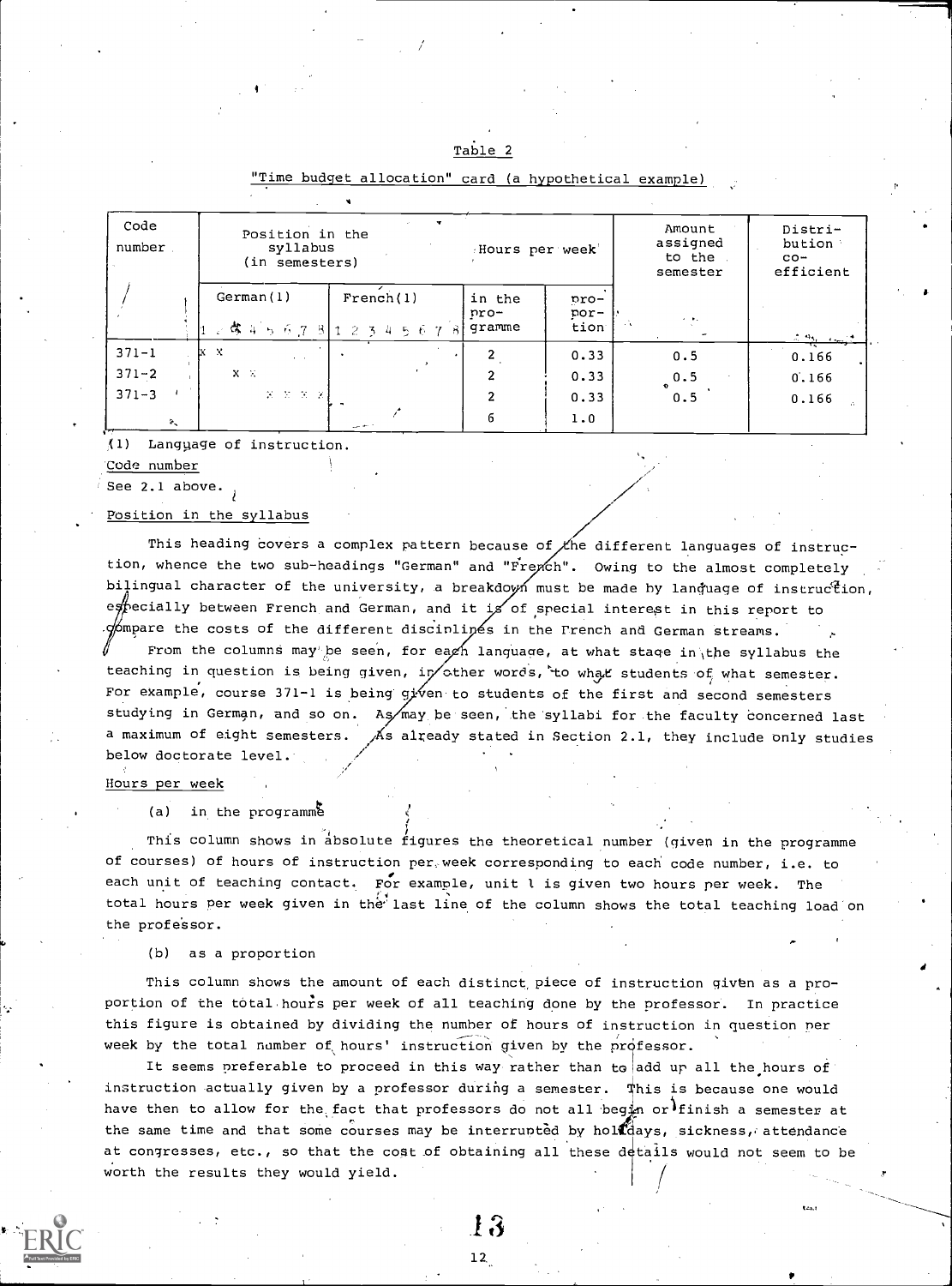| Table |  |  |
|-------|--|--|
|       |  |  |

| Code<br>number         | Position in the<br>syllabus<br>(in semesters) |                                           | Hours per week           |                      | Amount<br>assigned<br>to the<br>semester | Distri-<br>bution<br>$CO -$<br>efficient |
|------------------------|-----------------------------------------------|-------------------------------------------|--------------------------|----------------------|------------------------------------------|------------------------------------------|
|                        | German(1)                                     | French(1)<br> 1.啓 4 ら 6 .7 .8  1234567 .8 | in the<br>pro-<br>qramme | pro-<br>por-<br>tion | $\sigma$ , and                           | $2.96 - 6.02$                            |
| $371 - 1$              | lx x<br>$\mathbf{r} = \mathbf{r}$ .           |                                           |                          | 0.33                 | 0.5                                      | 0.166                                    |
| $371 - 2$              | $X - X$                                       |                                           | ົ                        | 0.33                 | 0.5                                      | 0.166                                    |
| $371 - 3$              | $X = X = X = X$                               |                                           | 2                        | 0.33                 | 0.5                                      | 0.166                                    |
| $\mathcal{D}_{\infty}$ |                                               |                                           | 6                        | 1.0                  |                                          |                                          |

# "Time budget allocation" card (a hypothetical example)

(1) Langyage of instruction.

Code number

See 2.1 above.

# Position in the syllabus

This heading covers a complex pattern because of  $\chi$ he different languages of instruction, whence the two sub-headings "German" and "French". Owing to the almost completely bilingual character of the university, a breakdown must be made by language of instruction, eftecially between French and German, and it is of special interest in this report to  $\phi$ mpare the costs of the different discinlipes in the French and German streams. From the columns may be seen, for each language, at what stage in the syllabus the

teaching in question is being given, in  $\sigma$ ther words, to what students of what semester. For example, course 371-1 is being given to students of the first and second semesters studying in German, and so on. As may be seen, the syllabi for the faculty concerned last a maximum of eight semesters.  $\overline{A}$ s already stated in Section 2.1, they include only studies below doctorate level.

#### Hours per week

(a) in the programme

This column shows in absolute figures the theoretical number (given in the programme of courses) of hours of instruction per week corresponding to each code number, i.e. to each unit of teaching contact. For example, unit l is given two hours per week. The total hours per week given in the' last line of the column shows the total teaching load on the professor.

(b) as a proportion

This column shows the amount of each distinct piece of instruction given as a proportion of the total-hour's per week of all teaching done by the professor. In practice this figure is obtained by dividing the number of hours of instruction in question per week by the total number of hours' instruction given by the professor.

It seems preferable to proceed in this way rather than to add up all the hours of instruction actually given by a professor during a semester.  $\psi$ his is because one would have then to allow for the fact that professors do not all begin or finish a semester at the same time and that some courses may be interrunted by holl days, sickness, attendance at congresses, etc., so that the cost of obtaining all these details would not seem to be worth the results they would yield. /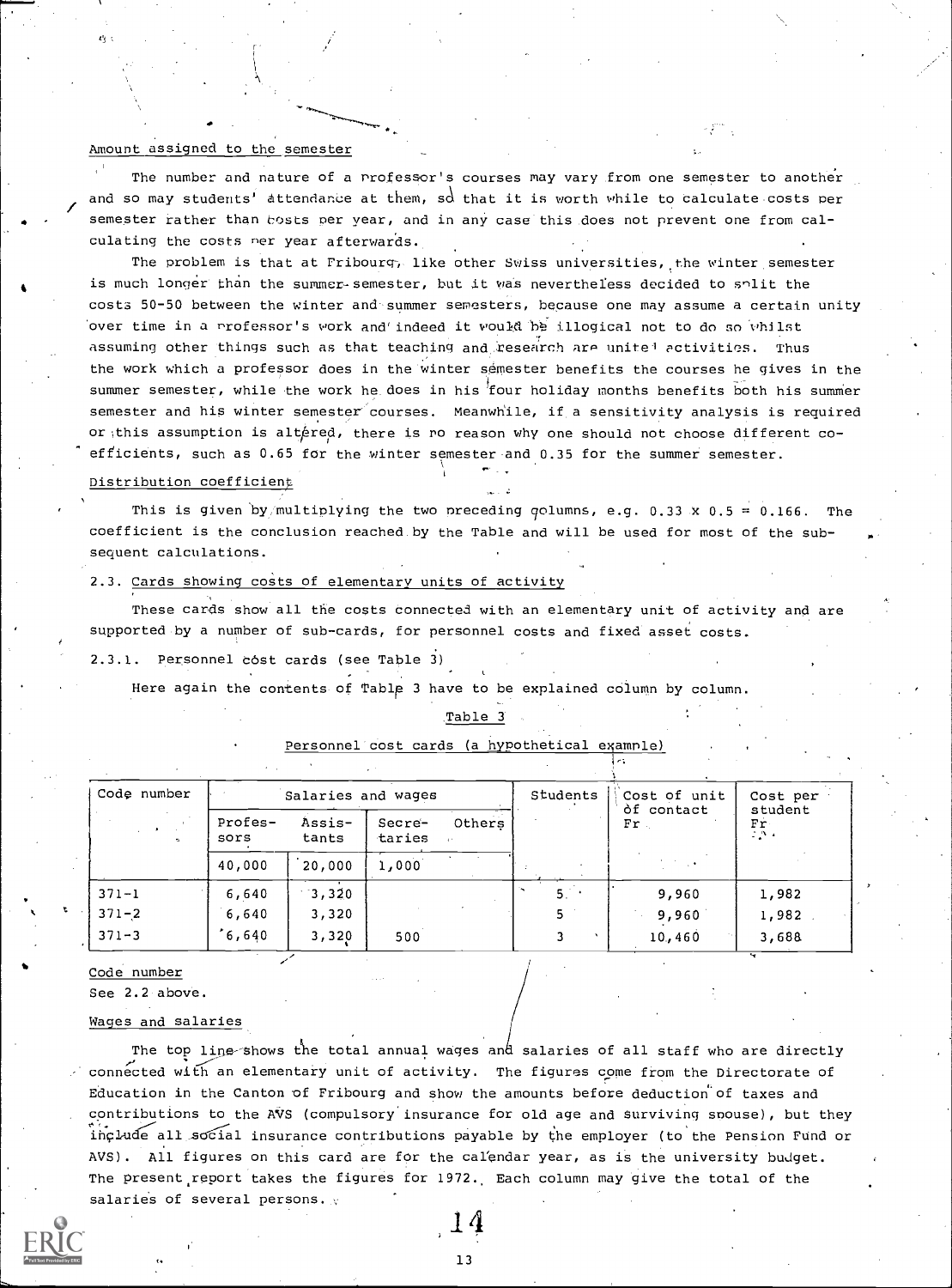# Amount assigned to the semester

The number and nature of a professor's courses may vary from one semester to another and so may students' attendance at them, sd that it is worth while to calculate costs per semester rather than hosts per year, and in any case this does not prevent one from calculating the costs ner year afterwards.

The problem is that at Fribourg; like other Swiss universities, the winter semester is much longer than the summer-semester, but it was nevertheless decided to split the costs 50-50 between the winter and summer semesters, because one may assume a certain unity over time in a Professor's work and' indeed it would 11.1p.: illogical not to do so Whilst assuming other things such as that teaching and research are unite<sup>1</sup> activities. Thus the work which a professor does in the winter semester benefits the courses he gives in the summer semester, while the work he does in his four holiday months benefits both his summer semester and hip winter semester courses. Meanwhile, if a sensitivity analysis is required or this assumption is altered, there is ro reason why one should not choose different coefficients, such as 0.65 for the winter semester and 0.35 for the summer semester.

#### Distribution coefficient

This is given by multiplying the two preceding golumns, e.g. 0.33 x 0.5 = 0.166. The coefficient is the conclusion reached by the Table and will be used for most of the subsequent calculations.

# 2.3. Cards showing costs of elementary units of activity

These cards show all the costs connected with an elementary unit of activity and are supported by a number of sub-cards, for personnel costs and fixed asset costs.

2.3.1. Personnel cost cards (see Table 3)

Here again the contents of Table 3 have to be explained cdIumn by column.

#### Table 3

| Code number | Salaries and wages |                 |                  |        | Students | Cost of unit         | Cost per              |
|-------------|--------------------|-----------------|------------------|--------|----------|----------------------|-----------------------|
| $\sim$      | Profes-<br>sors    | Assis-<br>tants | Secre-<br>taries | Others |          | òf contact<br>$Fr$ . | student<br>Fr<br>2,5% |
|             | 40,000             | 20,000          | 1,000            |        |          |                      |                       |
| $371 - 1$   | 6,640              | 3,320           |                  |        | 5.       | 9,960                | 1,982                 |
| $371 - 2$   | 6,640              | 3,320           |                  |        |          | 9,960                | 1,982                 |
| $371 - 3$   | 6,640'             | 3,320           | 500              |        |          | 10,460               | 3,688                 |

Personnel cost cards (a hypothetical example)

Code number

See 2.2 above.

#### Wages and salaries

The top line-shows the total annual wages and salaries of all staff who are directly connected with an elementary unit of activity. The figures come from the Directorate of Education in the Canton of Fribourg and show the amounts before deduction of taxes and contributions to the AVS (compulsory insurance for old age and Surviving snouse), but they include all social insurance contributions payable by the employer (to the Pension Fund or AVS). All figures on this card are for the calendar year, as is the university budget. The present report takes the figures for 1972.. Each column may give the total of the salaries of several persons.

14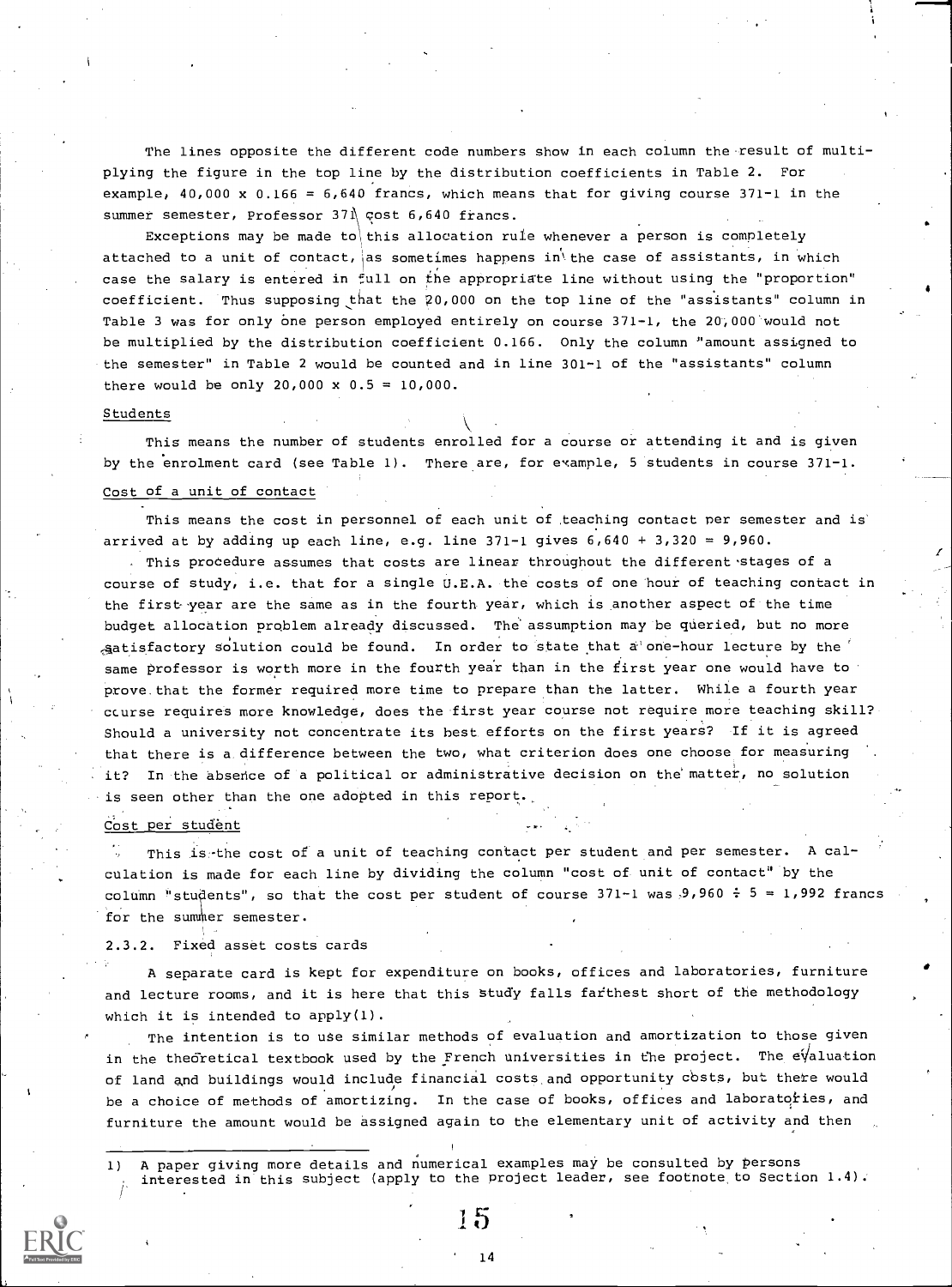The lines opposite the different code numbers show in each column the result of multiplying the figure in the top line by the distribution coefficients in Table 2. For example,  $40,000 \times 0.166 = 6,640$  francs, which means that for giving course  $371-1$  in the summer semester, Professor 371 cost 6,640 francs.

Exceptions may be made to this allocation rule whenever a person is completely attached to a unit of contact, as sometimes happens in the case of assistants, in which case the salary is entered in full on the appropriate line without using the "proportion" coefficient. Thus supposing that the 20,000 on the top line of the "assistants" column in Table 3 was for only one person employed entirely on course 371-1, the 20,000 would not be multiplied by the distribution coefficient 0.166. Only the column 'amount assigned to the semester" in Table 2 would be counted and in line 301-1 of the "assistants" column there would be only 20,000 x  $0.5 = 10,000$ .

#### Students

This means the number of students enrolled for a course or attending it and is given by the enrolment card (see Table 1). There are, for example, 5 students in course 371-1.

# Cost of a unit of contact

This means the cost in personnel of each unit of teaching contact per semester and is' arrived at by adding up each line, e.g. line  $371-1$  gives  $6,640 + 3,320 = 9,960$ .

. This procedure assumes that costs are linear throughout the different stages of a course of study, i.e. that for a single U.E.A. the costs of one hour of teaching contact in the first year are the same as in the fourth year, which is another aspect of the time budget allocation problem already discussed. The assumption may be queried, but no more  $s$ atisfactory solution could be found. In order to state that a one-hour lecture by the same professor is worth more in the fourth year than in the first year one would have to prove that the former required more time to prepare than the latter. While a fourth year ccurse requires more knowledge, does the first year course not require more teaching skill? Should a university not concentrate its best efforts on the first years? If it is agreed that there is a difference between the two, what criterion does one choose for measuring it? In the absence of a political or administrative decision on the matter, no solution is seen other than the one adopted in this report.

# Cost per student

This is-the cost of a unit of teaching contact per student and per semester. A calcUlation is made for each line by dividing the column "cost of unit of contact" by the column "students", so that the cost per student of course  $371-1$  was  $9,960 \div 5 = 1,992$  francs for the summer semester.

#### 2.3.2. Fixed asset costs cards

A separate card is kept for expenditure on books, offices and laboratories, furniture and lecture rooms, and it is here that this Study falls farthest short of the methodology which it is intended to apply(1).

The intention is to use similar methods of evaluation and amortization to those given in the theoretical textbook used by the French universities in the project. The e $\sqrt{4}$ luation of land and buildings would include financial costs and opportunity costs, but there would be a choice of methods of amortizing. In the case of books, offices and laboratoties, and furniture the amount would be assigned again to the elementary unit of activity and then

1) A paper giving more details and numerical examples may be consulted by persons interested in this subject (apply to the project leader, see footnote, to Section 1.4).



14

11)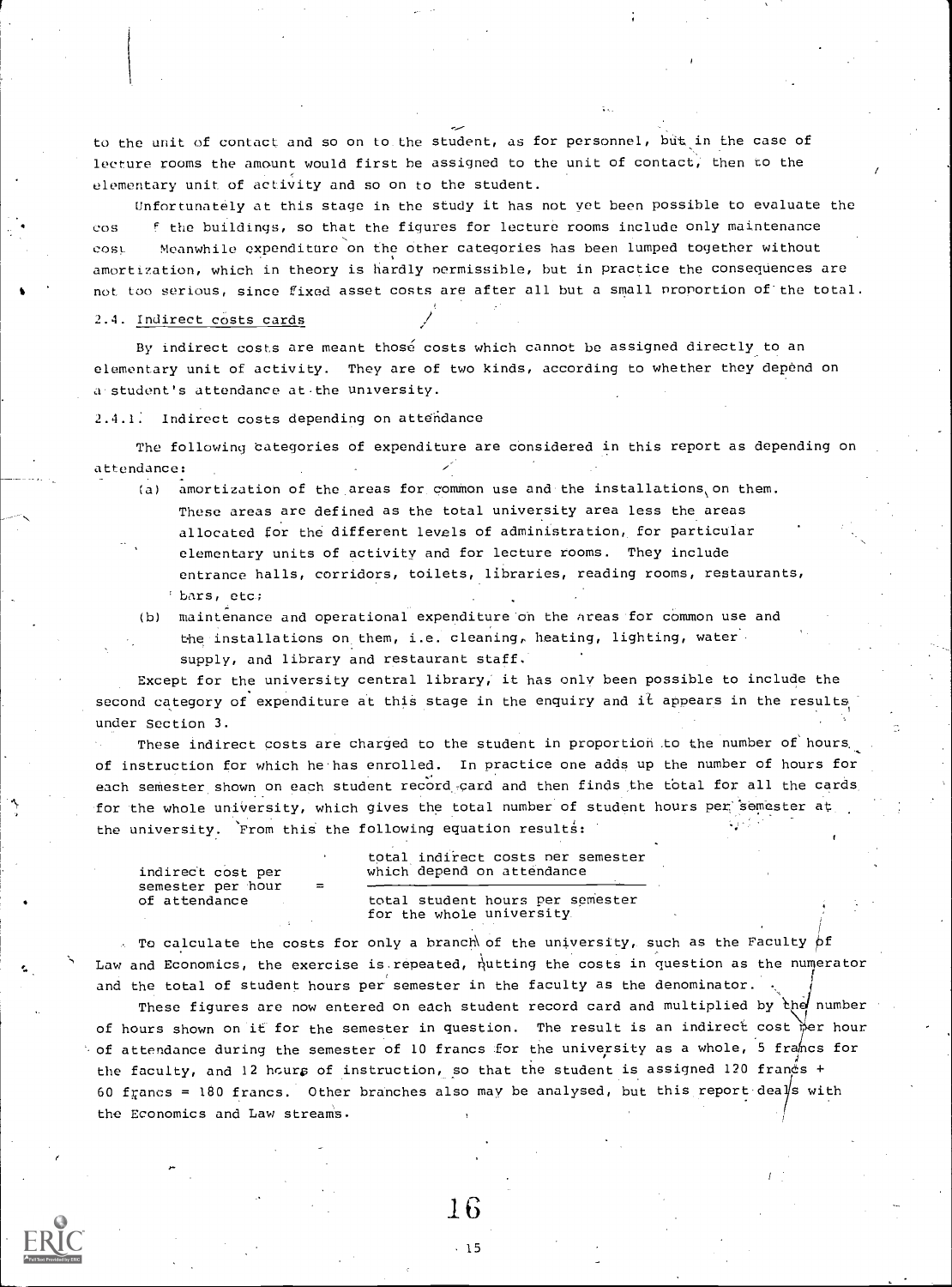to the unit of contact and so on to the student, as for personnel, but in the case of lecture rooms the amount would first be assigned to the unit of contact; then to the elementary unit of activity and so on to the student.

Unfortunately at this stage in the study it has not vet been possible to evaluate the cos f the buildings, so that the figures for lecture rooms include only maintenance cost Meanwhile expenditure on the other categories has been lumped together without amortization, which in theory is hardly nermissible, but in practice the consequences are not too serious, since fixed asset costs are after all but a small proportion of the total.

#### 2.4. Indirect costs cards

By indirect costs are meant those costs which cannot be assigned directly to an elementary unit of activity. They are of two kinds, according to whether they depend on a.student's attendance at.the university.

2.4.1: Indirect costs depending on attendance

The following categories of expenditure are considered in this report as depending on attendance:

- (a) amortization of the areas for common use and the installations on them. These areas are defined as the total university area less the areas allocated for the different levels of administration, for particular elementary units of activity and for lecture rooms. They include
	- entrance halls, corridors, toilets, libraries, reading rooms, restaurants, bars, etc;
- (b) maintenance and operational expenditure on the Areas for common use and the installations on them, i.e. cleaning, heating, lighting, water supply, and library and restaurant staff.

Except for the university central library, it has only been possible to include the second category of expenditure at this stage in the enquiry and it appears in the results under Section 3.

These indirect costs are charged to the student in proportion to the number of hours of instruction for which he has enrolled. In practice one adds up the number of hours for each semester shown on each student record card and then finds the total for all the cards for the whole university, which gives the total number of student hours per semester at the university. From this the following equation results:

total indirect costs ner semester indirect cost per which depend on attendance semester per hour<br>of attendance total student hours per semester for the whole university

. To calculate the costs for only a branch of the university, such as the Faculty  $\beta$ f Law and Economics, the exercise is repeated, nutting the costs in question as the numerator and the total of student hours per semester in the faculty as the denominator.

These figures are now entered on each student record card and multiplied by  $\mathfrak{h}$ ed number of hours shown on it for the semester in question. The result is an indirect cost  $\frac{1}{100}$  hour  $\cdot$  of attendance during the semester of 10 francs for the university as a whole, 5 francs for the faculty, and 12 hours of instruction, so that the student is assigned 120 francs + 60 francs = 180 francs. Other branches also may be analysed, but this report deals with the Economics and Law streams.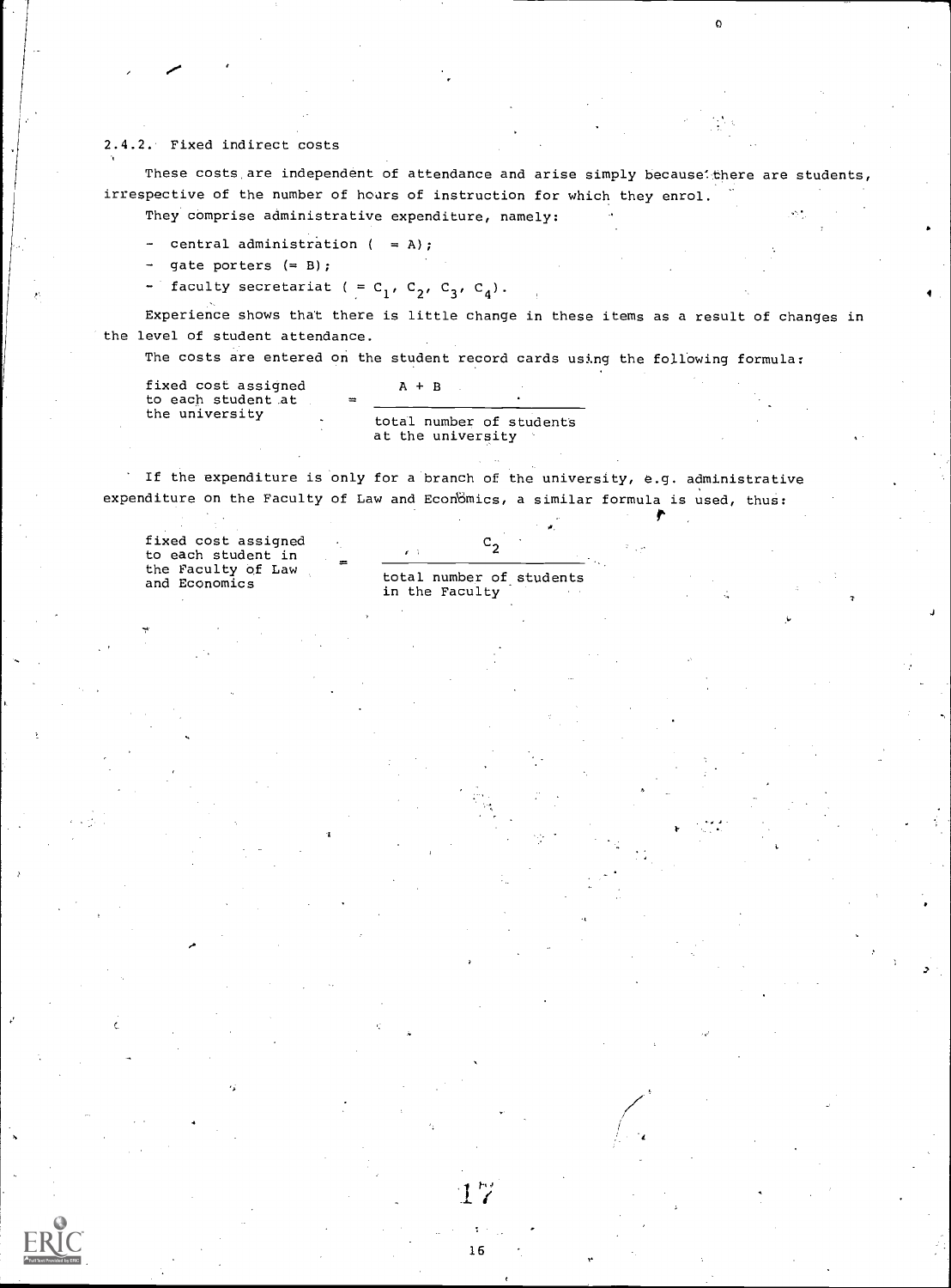### 2.4.2. Fixed indirect costs

These costs are independent of attendance and arise simply because there are students, irrespective of the number of hours of instruction for which they enrol.

They comprise administrative expenditure, namely:

- central administration  $($  = A);
- gate porters (= B);
- faculty secretariat ( =  $C_1$ ,  $C_2$ ,  $C_3$ ,  $C_4$ ).

Experience shows that there is little change in these items as a result of changes in the level of student attendance.

The costs are entered on the student record cards using the following formula:

| fixed cost assigned                  |          | $A + B$                                       |  |
|--------------------------------------|----------|-----------------------------------------------|--|
| to each student at<br>the university | $\equiv$ | total number of students<br>at the university |  |

If the expenditure is only for a branch of the university, e.g. administrative expenditure on the Faculty of Law and Economics, a similar formula is used, thus:

fixed cost assigned to each student in the Faculty of Law

total number of students in the Faculty

 $\mathtt{c_2}$ 

r,I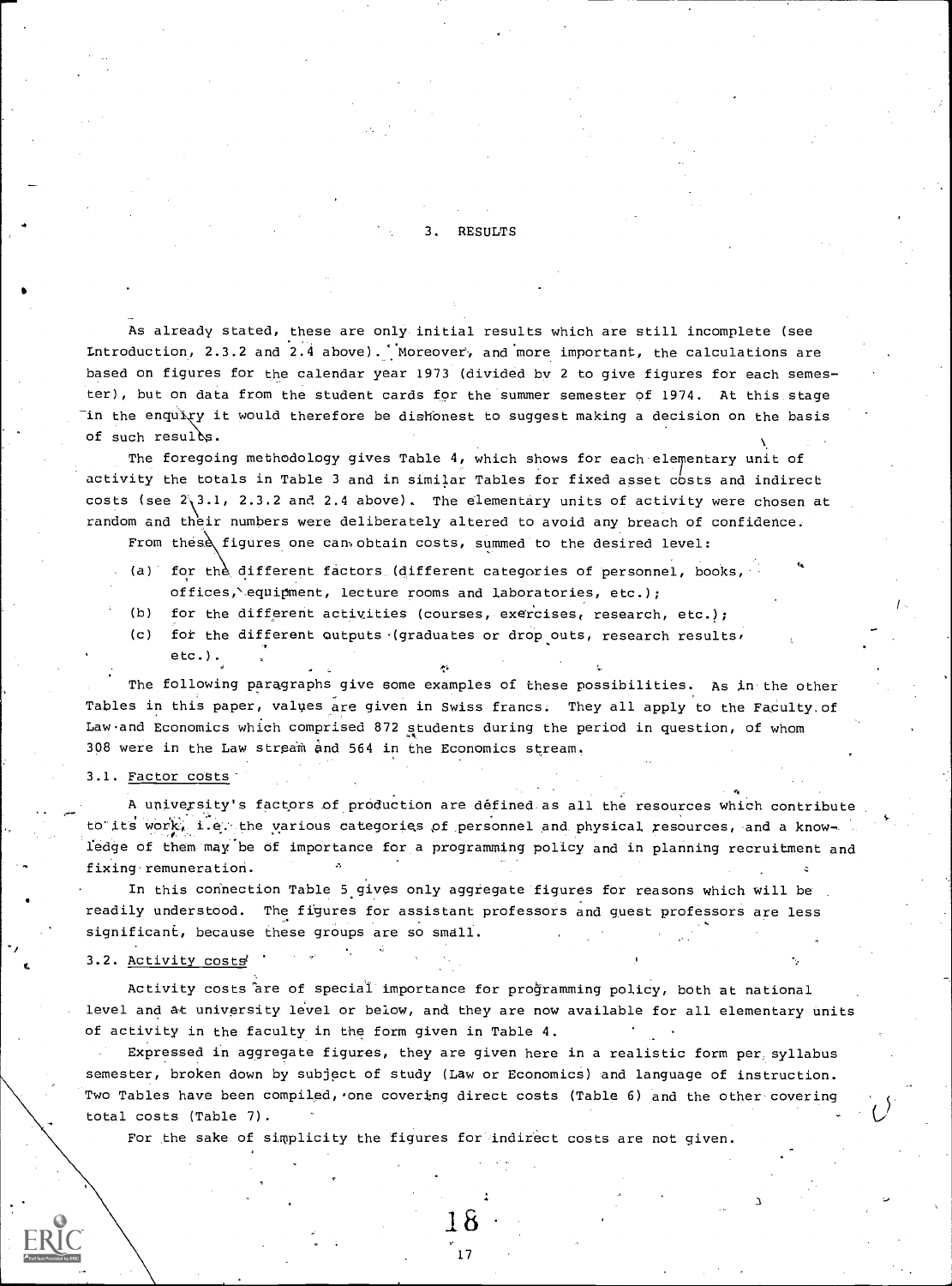#### **RESULTS**

As already stated, these are only initial results which are still incomplete (see Introduction, 2.3.2 and 2.4 above). Moreover, and more important, the calculations are based on figures for the calendar year 1973 (divided by 2 to give figures for each semester), but on data from the student cards for the summer semester of 1974. At this stage "in the enqu $\chi$ y it would therefore be dishonest to suggest making a decision on the basis of such resules.

The foregoing methodology gives Table 4, which shows for each elementary unit of activity the totals in Table 3 and in similar Tables for fixed asset costs and indirect costs (see 2\3.1, 2.3.2 and 2.4 above). The elementary units of activity were chosen at random and their numbers were deliberately altered to avoid any breach of confidence.

From these figures one can obtain costs, summed to the desired level:

- (a) for the different factors (different categories of personnel, books, offices,`equipment, lecture rooms and laboratories, etc.);
- (b) for the different activities (courses, exercises, research, etc.);
- (c) for the different outputs (graduates or drop outs, research results,

etc.). The following paragraphs give some examples of these possibilities. As in the other Tables in this paper, values are given in Swiss francs. They all apply to the Faculty,of Law.and Economics which comprised 872 students during the period in question, of whom

308 were in the Law stream and 564 in the Economics stream.

# 3.1. Factor costs'

A university's factors of production are defined as all the resources which contribute to its work, i.e. the various categories of personnel and physical resources, and a knowledge of them may be of importance for a programming policy and in planning recruitment and fixing remuneration.

In this connection Table 5 gives only aggregate figures for reasons which will be readily understood. The figures for assistant professors and guest professors are less significant, because these groups are so smell.

3.2. Activity costs

Activity costs are of special importance for programming policy, both at national level and at university level or below, and they are now available for all elementary units of activity in the faculty in the form given in Table 4.

Expressed in aggregate figures, they are given here in a realistic form per, syllabus semester, broken down by subject of study (Law or Economics) and language of instruction. Two Tables have been compiled, one covering direct costs (Table 6) and the other covering total costs (Table 7).

For the sake of simplicity the figures for indirect costs are not given.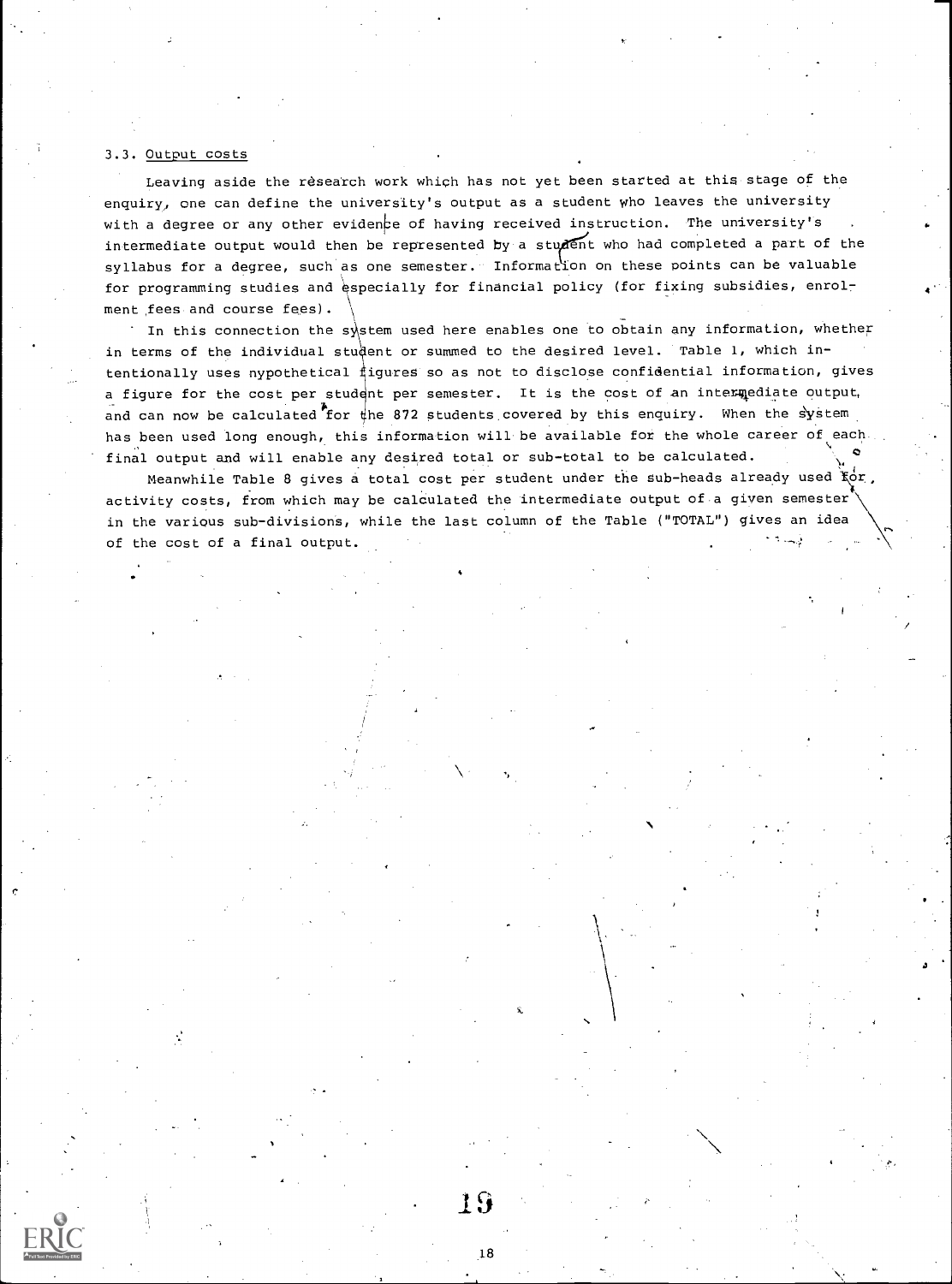#### 3.3. Output costs

Leaving aside the research work which has not yet been started at this stage of the enquiry, one can define the university's output as a student who leaves the university with a degree or any other evidence of having received instruction. The university's syllabus for a degree, such as one semester. Information on these points can be valuable intermediate output would then be represented by a student who had completed a part of the for programming studies and especially for financial policy (for fixing subsidies, enrolment fees and course fees).

In this connection the system used here enables one to obtain any information, whether in terms of the individual student or summed to the desired level. Table 1, which intentionally uses nypothetical figures so as not to disclose confidential information, gives a figure for the cost per student per semester. It is the cost of an intermediate output, and can now be calculated for the 872 students covered by this enquiry. When the system has been used long enough, this information will be available for the whole career of each final output and will enable any desired total or sub-total to be calculated.

Meanwhile Table 8 gives a total cost per student under the sub-heads already used  $\ker$  ,  $\ker$ activity costs, from which may be calculated the intermediate output of a given semester in the various sub-divisions, while the last column of the Table ("TOTAL") gives an idea of the cost of a final output.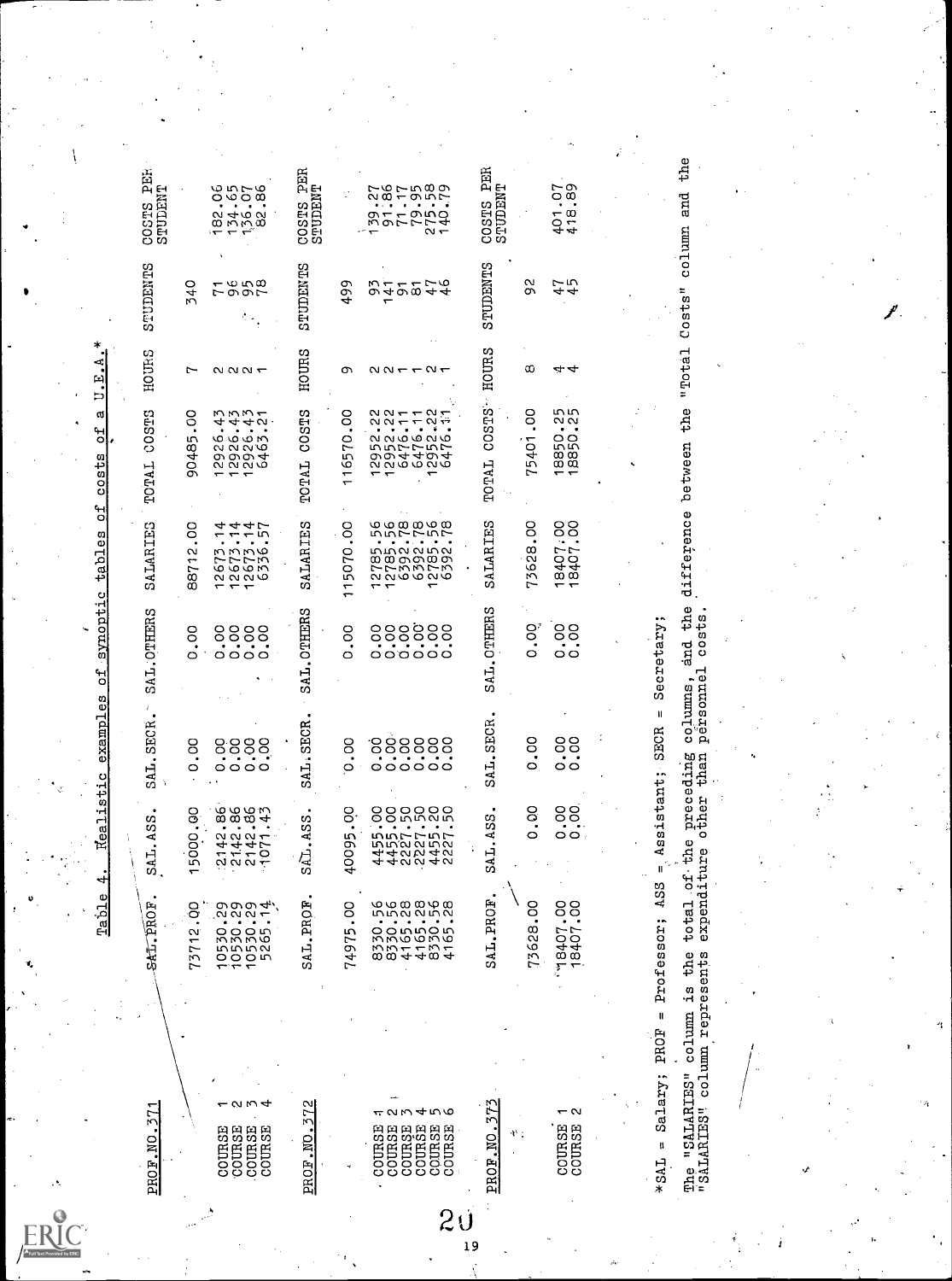$\begin{tabular}{l|cccc|cccc|cccc|} \hline & \multicolumn{3}{|c|}{\textbf{5000}} & \multicolumn{3}{|c|}{\textbf{5100}} & \multicolumn{3}{|c|}{\textbf{5200}} & \multicolumn{3}{|c|}{\textbf{5200}} & \multicolumn{3}{|c|}{\textbf{5200}} & \multicolumn{3}{|c|}{\textbf{5200}} & \multicolumn{3}{|c|}{\textbf{5200}} & \multicolumn{3}{|c|}{\textbf{5200}} & \multicolumn{3}{|c|}{\textbf{5200}} & \multicolumn{3}{|c|}{\$  $\begin{tabular}{cccccccc} \textbf{10.9325} & \textbf{11.9332}, & \textbf{12.934}, & \textbf{3.11,3353}, & \textbf{3.11,3353}, & \textbf{3.11,3353}, & \textbf{3.11,3353}, & \textbf{3.11,3353}, & \textbf{3.11,3353}, & \textbf{3.11,3353}, & \textbf{3.11,3353}, & \textbf{3.11,3353}, & \textbf{3.11,3353}, & \textbf{3.11,3353}, & \textbf{3.11$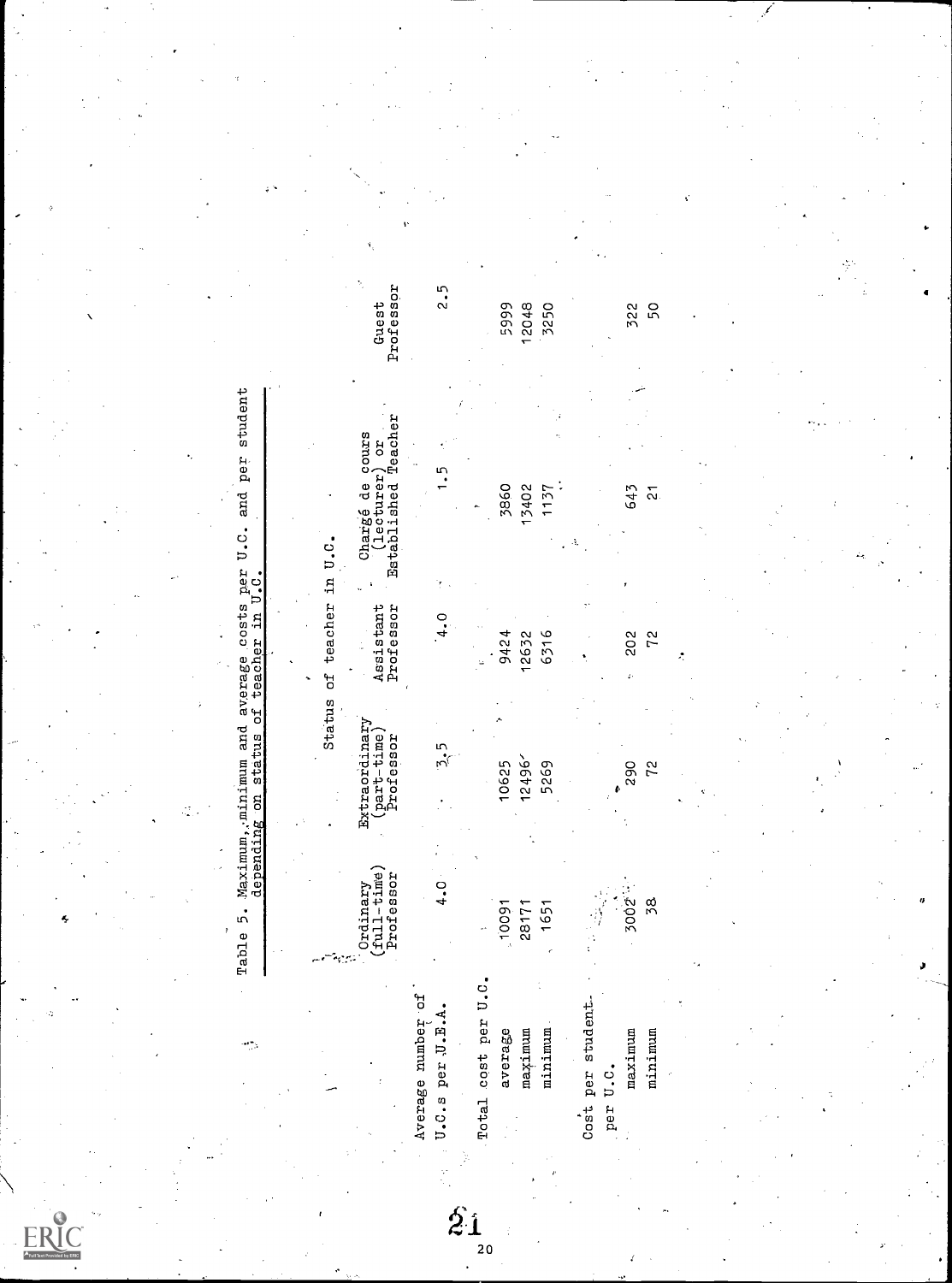| Full Text Provided by ERIC |
|----------------------------|

Table 5. Maximum,;minimum and average costs per U.C. and per student depending on status of teacher in U.C.

|  | Status of teacher in U.C. |  |
|--|---------------------------|--|
|  |                           |  |
|  |                           |  |

|                 | Professor | Professor |                 | Professor Established Teacher |  |
|-----------------|-----------|-----------|-----------------|-------------------------------|--|
| age number of   |           |           |                 |                               |  |
| s per J.E.A.    |           | $-3.5$    | $\frac{1}{4}$ . | $\frac{1}{2}$                 |  |
| l cost per U.C. |           |           |                 |                               |  |

|                           |                                                               | $\hat{z_1}$                                       | 20                                  |         |         |                                   |         |                          |  |  |
|---------------------------|---------------------------------------------------------------|---------------------------------------------------|-------------------------------------|---------|---------|-----------------------------------|---------|--------------------------|--|--|
|                           |                                                               |                                                   |                                     |         |         |                                   |         |                          |  |  |
|                           |                                                               | Average number of<br>$\ddot{E}$ .<br>U.C.s per U. | per U.C.<br>average<br>Total cost ] | maximum | minimum | ident<br>Cost per stu<br>per U.C. | maximum | minimum                  |  |  |
|                           | Professor<br>${\rm (ralign - time)}$<br>${\rm (ru11 - time)}$ | $\frac{0}{4}$                                     | 10091                               | 28171   | 1651    |                                   | 3002    | 38                       |  |  |
|                           | Extraordinary<br>(part-time)<br>Professor                     | 5.5                                               | 10625                               | 12496'  | 5269    |                                   | 290     | 72                       |  |  |
| Status of teacher in U.C. | Assistant<br>Professor                                        | $\ddot{ }$ .                                      | 9424                                | 12632   | 6316    |                                   | 202     | 72                       |  |  |
|                           | Established Teacher<br>Chargé de cours<br>(lecturer) or       |                                                   | 3860                                | 13402   | 1137    |                                   | 643     | $\overline{\mathcal{N}}$ |  |  |
|                           | Guest<br>Professor                                            | $\frac{5}{2}$                                     | 5999                                | 12048   | 3250    |                                   | 322     | 50                       |  |  |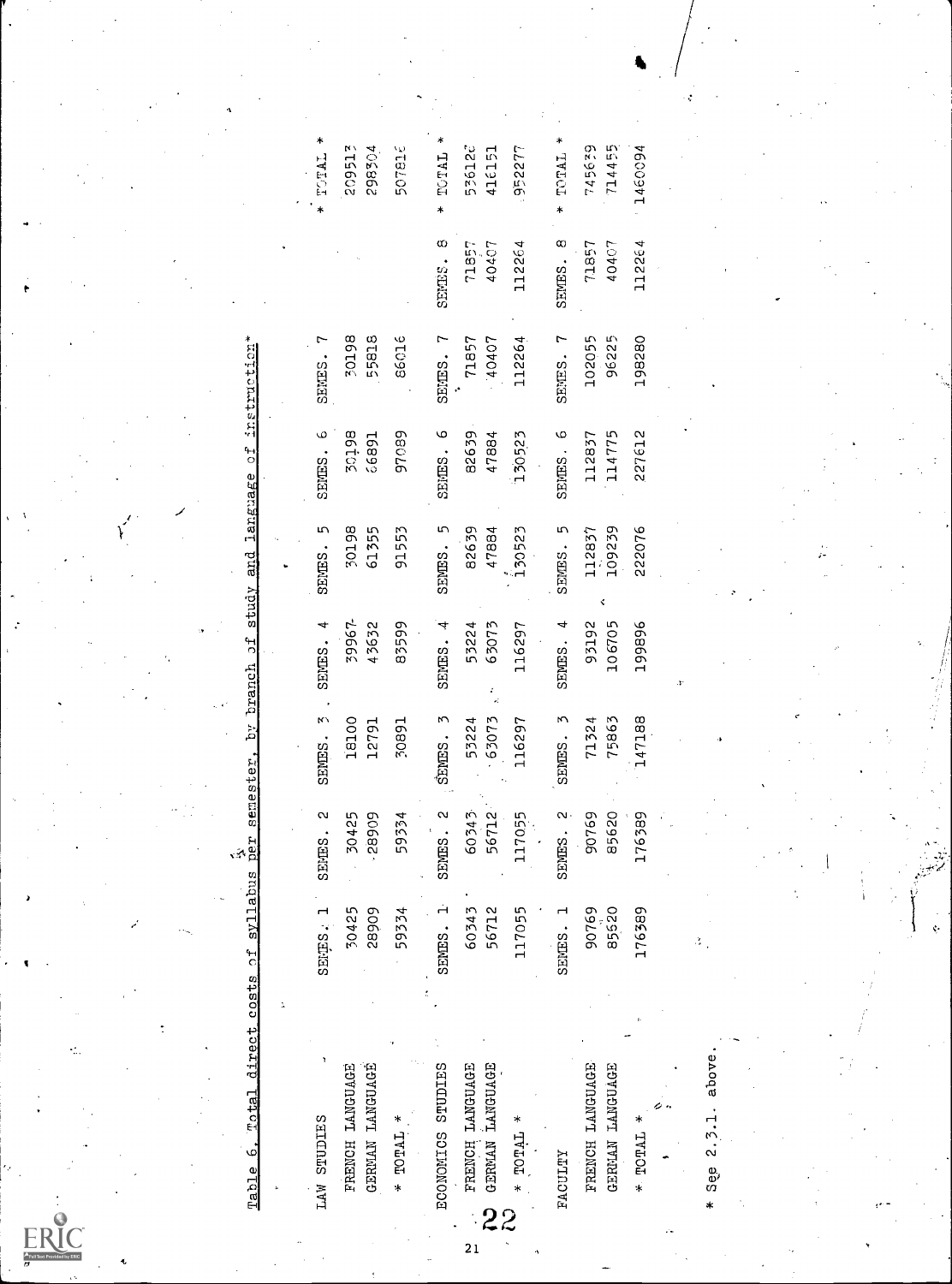|                                                                                                       | SENES.             | 30198<br>55818                     | 86016         |
|-------------------------------------------------------------------------------------------------------|--------------------|------------------------------------|---------------|
|                                                                                                       | SENES. 6           | 86 tog<br>66891                    | 97089         |
|                                                                                                       | SENES.             | 30198<br>61355                     | 91553         |
|                                                                                                       | SENES. 4           | 39967-<br>43632                    | 83599         |
|                                                                                                       | SENES. 3.          | 18100<br>12791                     | 10891         |
|                                                                                                       | SEMES. 2           | 30425<br>.28909                    | 59334         |
| 1                                                                                                     | SENES. 1           | 30425<br><b>60682</b>              | 59334         |
| Table 6. Total direct costs of syllabus per semester, by branch of study and language of instruction* | <b>LAW STUDIES</b> | FRENCH LANGUAGE<br>GERMAN LANGUAGE | $*$ TOTAL $*$ |

| $\ast$<br>TALCI *  | 209513<br>298504                   | 507816        | TOTAL *<br>$\ast$ | 536120<br>416151                     | 952277    | TOTAL *            | 714455<br>745639                   | 1460094 |                   |
|--------------------|------------------------------------|---------------|-------------------|--------------------------------------|-----------|--------------------|------------------------------------|---------|-------------------|
|                    |                                    |               | ω<br>SENES.       | 71857<br>40407                       | 112264    | $\infty$<br>SENES. | 40407<br>71857                     | 112264  |                   |
| SENES.             | 30198<br>55818                     | 31098         | SENES. 7          | 71857<br>10407                       | 112264    | SENES. 7           | 96225<br>102055                    | 198280  |                   |
| SENES. 6           | 50198<br>66891                     | 97089         | SENES. 6          | 82639<br>47884                       | 130523    | SENES. 6           | 112837<br>114775                   | 227612  |                   |
| SENES. 5           | 30198<br>61355                     | 91553         | SENES. 5          | 82639<br>47884                       | 130523    | SENES. 5           | 109239<br>112837                   | 222076  |                   |
| SENES. 4           | 39967-<br>43632                    | 83599         | SENES. 4          | 63073<br>53224                       | 116297    | SENES. 4           | 106705<br>93192                    | 199896  |                   |
| SENES. 3           | 18100<br>12791                     | 16802         | SENES. 3          | $-63073$<br>53224                    | 116297    | SENES. 3           | 75863<br>71324                     | 147188  |                   |
| SEMES. 2           | 30425<br>28909                     | 59334         | SENES. 2          | 56712<br>60343                       | 117055    | SENES. 2           | 90769<br>85620                     | 176389  |                   |
| SENES. 1           | 30425<br>28909                     | 59334         | SENES. 1          | 60343<br>56712                       | 117055    | SENES.             | 90769<br>85520                     | 176389  |                   |
|                    |                                    |               |                   |                                      |           |                    |                                    |         |                   |
| <b>LAW STUDIES</b> | GERMAN LANGUAGE<br>FRENCH LANGUAGE | $*$ TOTAL $*$ | ECONOMICS STUDIES | N GERMAN LANGUAGE<br>FRENCH LANGUAGE | * TOTAL * | <b>FACULTY</b>     | FRENCH LANGUAGE<br>GERMAN LANGUAGE | * TOTAL | See 2.3.1. above. |

 $21$ 

ę.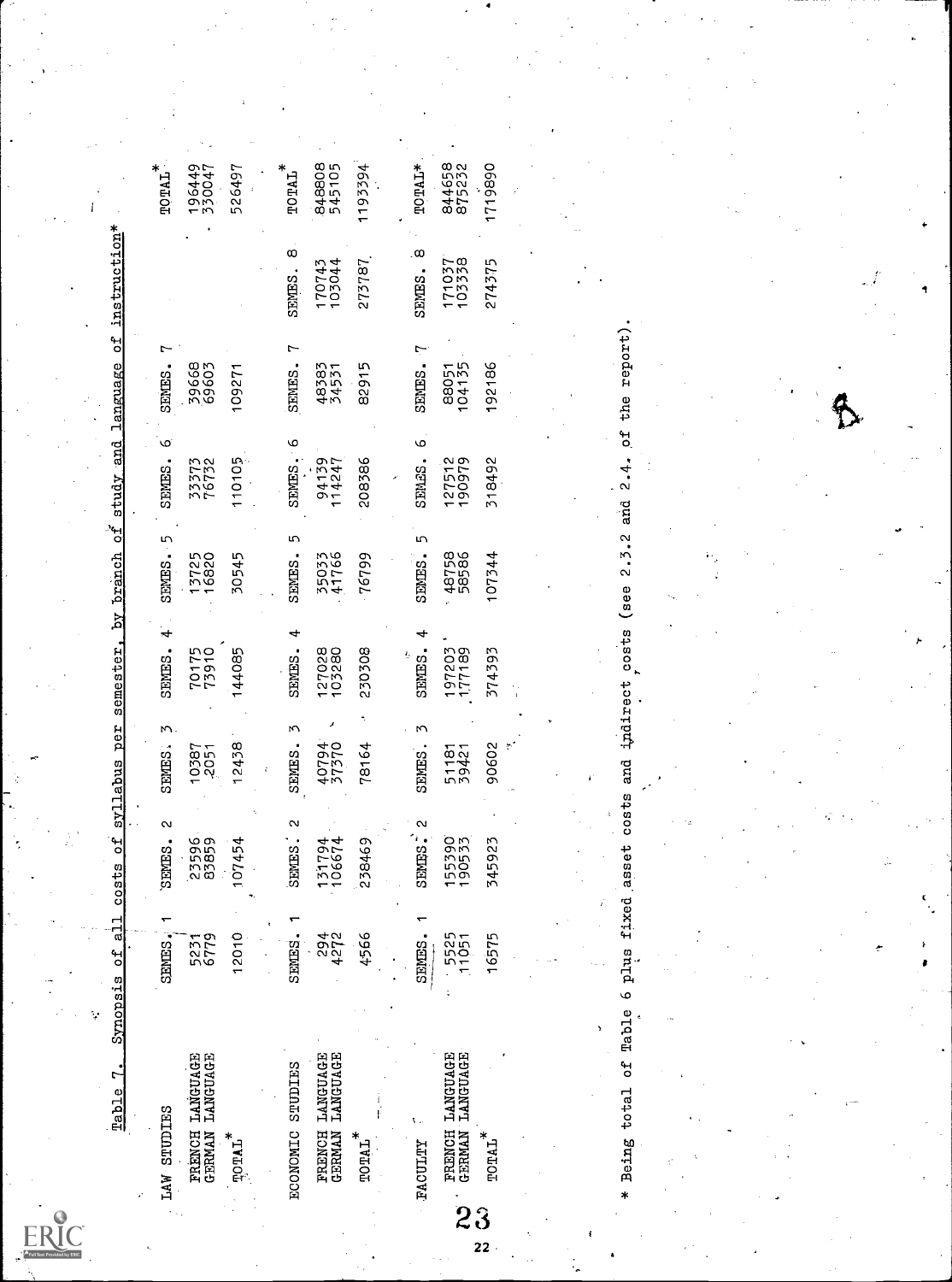| LAW STUDIES                               | ٣<br><b>SENES</b> | $\sim$<br>SEMES. | т<br>SEMES.    | 4<br>SEMES.      | 5<br>SENTES.   | ی<br>SENES.      | SENTES.         |                  | $\tt TQTLAL$     |
|-------------------------------------------|-------------------|------------------|----------------|------------------|----------------|------------------|-----------------|------------------|------------------|
| FRENCH LANGUAGE<br>GERMAN LANGUAGE        | 5231<br>6779      | 23596            | 10387<br>-2051 | 70175<br>73910   | 13725<br>16820 | 33373<br>76732   | 39668           |                  | 196449<br>330047 |
| <b>TOTAL</b>                              | 12010             | 107454           | 12438          | 144085           | 30545          | 110105           | 109271          |                  | 526497           |
| ECONOMIC STUDIES                          | SENES.            | Ν<br>SENES.      | Μ<br>SENES.    | SENTES.          | 5<br>SENES.    | o<br>SENES.      | SENES.          | œ<br>SENES.      | $\tt TOTAL$      |
| LANGUAGE<br>LANGUAGE<br>FRENCH<br>GERMAN  | 294<br>4272       | 131794<br>106674 | 40794          | 127028<br>103280 | 35033<br>41766 | 94139<br>114247  | 48383<br>34531  | 170743<br>103044 | 848808<br>545105 |
| $\tt TQTLA L^*$                           | 4566              | 238469           | 78164          | 230308           | 76799          | 208386           | 82915           | 273787           | 1193394          |
|                                           |                   |                  |                |                  |                |                  |                 |                  |                  |
| <b>FACULTY</b>                            | <b>SEMES</b>      | N<br>SENES.      | SENES.         | SENES.           | m<br>SENES.    | ৩<br>SEMPS.      | SENES.          | œ<br>SENTES.     | $TQTAI*$         |
| <b>FRENCH LANGUAGE</b><br>GERMAN LANGUAGE | 5525<br>11051     | 155390<br>190533 | 51181<br>39421 | 197203<br>177189 | 48758<br>58586 | 127512<br>190979 | 88051<br>104135 | 171037           | 844658<br>875232 |
| $\tt TQTLAL$                              | 16575             | 345923           | 90602          | 374393           | 107344         | 318492           | 192186          | 274375           | 1719890          |
|                                           |                   |                  |                |                  |                |                  |                 |                  |                  |
|                                           |                   |                  |                |                  |                |                  |                 |                  |                  |
|                                           |                   |                  |                |                  |                |                  |                 |                  |                  |
|                                           |                   |                  |                |                  |                |                  |                 |                  |                  |

ERIC<br>FullText Provided by ERIC

\* Being total of Table 6 plus fixed asset costs and indirect costs (see 2.3.2 and 2.4. of the report).

Г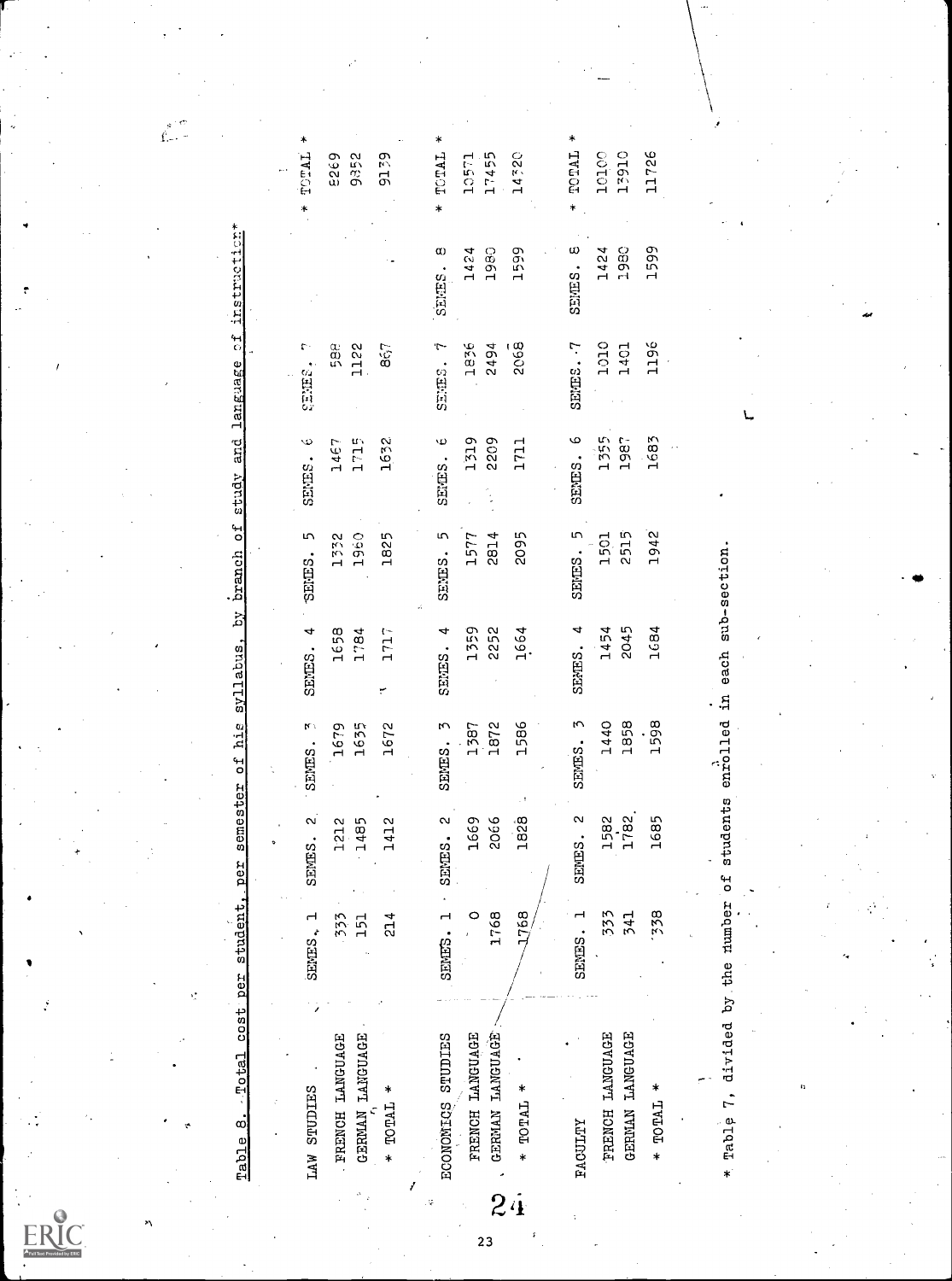|    | LAW STUDIES                      | SENES. 1      | $\sim$<br>SEMES.            | SENES. <sub>3</sub>                    | SENES. 4 | $\overline{5}$<br>SENES. | $\ddot{\circ}$<br>SENES.       | r.<br>SENES. |              | TOTAL<br>* |
|----|----------------------------------|---------------|-----------------------------|----------------------------------------|----------|--------------------------|--------------------------------|--------------|--------------|------------|
|    | FRENCH LANGUAGE                  | 333           | 1212                        | 1679                                   | 1658     | 1332                     | 1467                           | ao<br>50     |              | 5935       |
|    | GERMAN LANGUAGE                  |               | 1485                        | 1635                                   | 1784     | 1960                     | 1715                           | 1122         |              | 9352       |
|    | $*$ TOTAL $*$                    | $\frac{4}{3}$ | 1412                        | 1672                                   | 1717     | 1825                     | 1632                           | 867          |              | 9179       |
|    |                                  |               |                             |                                        |          |                          |                                |              |              |            |
|    | ECONOMICS STUDIES                | SENES.        | $\sim$<br>SENES.            | SENES. 3                               | SENES. 4 | SENES. 5                 | $\ddot{\mathbf{0}}$<br>SENTES. | SENES. 7     | α<br>SENES.  | TOTAL<br>* |
|    | FRENCH LANGUAGE                  |               | 1669                        | 1387                                   | 1359     | 1577                     | 1319                           | 1836         | 1424         | 10571      |
|    | GERMAN LANGUAGE                  | 1768          | 2066                        | 1872                                   | 2252     | 2814                     | 2209                           | 2494         | 1980         | 17455      |
| 24 | $*$ TOTAL $*$                    | 1768          | 1828                        | 1586                                   | 1664     | 2095                     | 1711                           | 2068         | 1599         | 14320      |
|    |                                  |               |                             |                                        |          |                          |                                |              |              |            |
|    | <b><i>FACULTY</i></b>            | SENES.        | $\mathbf{\alpha}$<br>SENES. | $\omega$<br>SENES.                     | SENES. 4 | SENES. 5                 | SENES. 6                       | SENES. - 7   | ω<br>SENTES. | TOTAL      |
|    | FRENCH LANGUAGE                  | 333           | 1582                        | 1440                                   | 1454     | 1501                     | 1355                           | 1010         | 1424         | 10100      |
|    | GERMAN LANGUAGE                  | 541           | 1782                        | 1858                                   | 2045     | 2515                     | 1987                           | 1401         | 1980         | 13910      |
|    | $*$ TOTAL $*$                    | 338           | 1685                        | 1598                                   | 1684     | 1942                     | 1683                           | 1196         | 1599         | 11726      |
|    |                                  |               |                             |                                        |          |                          |                                |              |              |            |
|    |                                  |               |                             |                                        |          |                          |                                |              |              |            |
|    | * Table 7, divided by the number |               | ۴d                          | students enrolled in each sub-section. |          |                          |                                |              |              |            |
|    |                                  |               |                             |                                        |          |                          |                                |              |              |            |

 $\overline{23}$ 

 $\hat{\mathbf{f}}_{\text{eff}}^{s}$ 

-r 4

ERIC